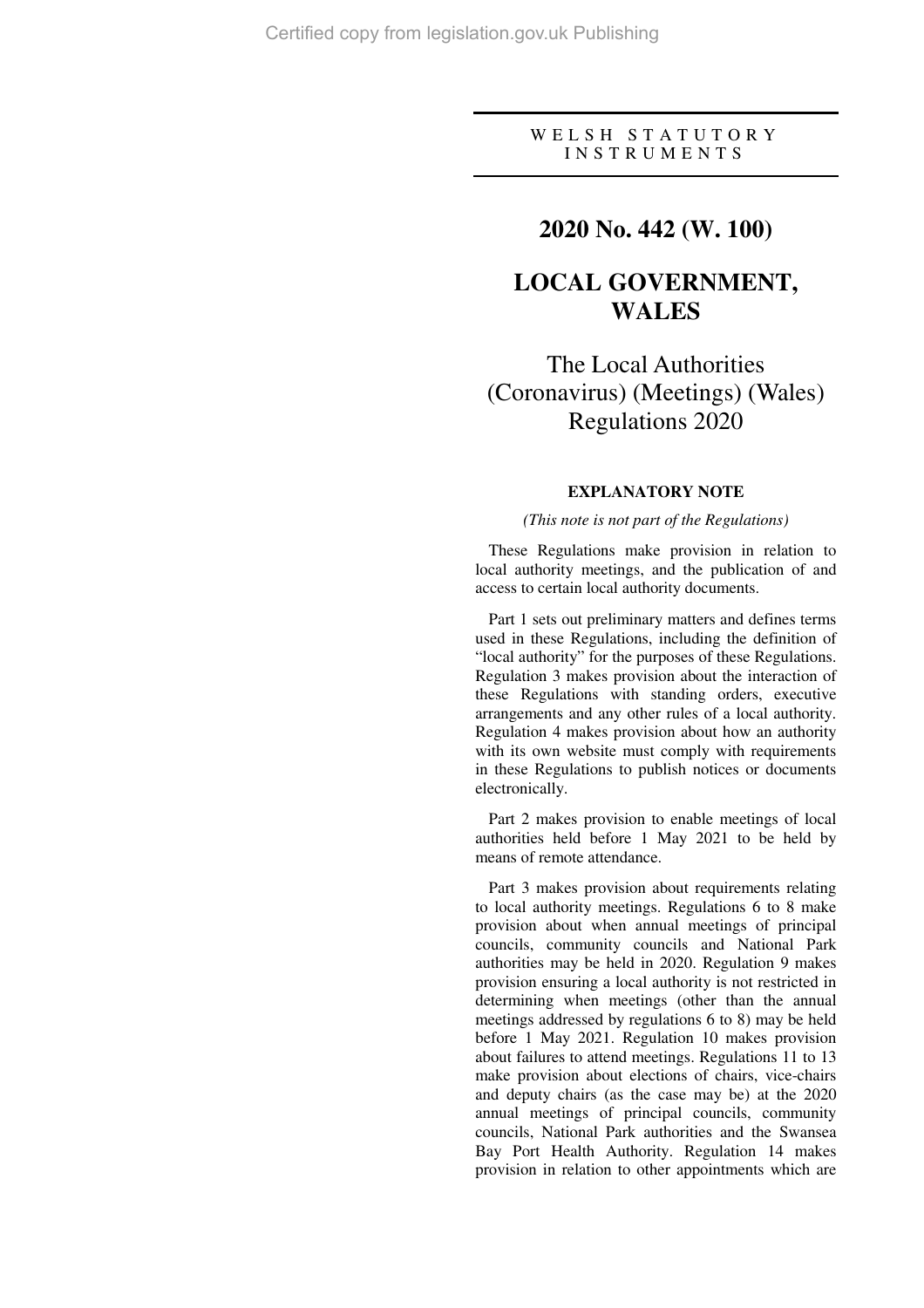## W E L S H S T A T U T O R Y I N S T R U M E N T S

# **2020 No. 442 (W. 100)**

# **LOCAL GOVERNMENT, WALES**

The Local Authorities (Coronavirus) (Meetings) (Wales) Regulations 2020

## **EXPLANATORY NOTE**

## *(This note is not part of the Regulations)*

These Regulations make provision in relation to local authority meetings, and the publication of and access to certain local authority documents.

Part 1 sets out preliminary matters and defines terms used in these Regulations, including the definition of "local authority" for the purposes of these Regulations. Regulation 3 makes provision about the interaction of these Regulations with standing orders, executive arrangements and any other rules of a local authority. Regulation 4 makes provision about how an authority with its own website must comply with requirements in these Regulations to publish notices or documents electronically.

Part 2 makes provision to enable meetings of local authorities held before 1 May 2021 to be held by means of remote attendance.

Part 3 makes provision about requirements relating to local authority meetings. Regulations 6 to 8 make provision about when annual meetings of principal councils, community councils and National Park authorities may be held in 2020. Regulation 9 makes provision ensuring a local authority is not restricted in determining when meetings (other than the annual meetings addressed by regulations 6 to 8) may be held before 1 May 2021. Regulation 10 makes provision about failures to attend meetings. Regulations 11 to 13 make provision about elections of chairs, vice-chairs and deputy chairs (as the case may be) at the 2020 annual meetings of principal councils, community councils, National Park authorities and the Swansea Bay Port Health Authority. Regulation 14 makes provision in relation to other appointments which are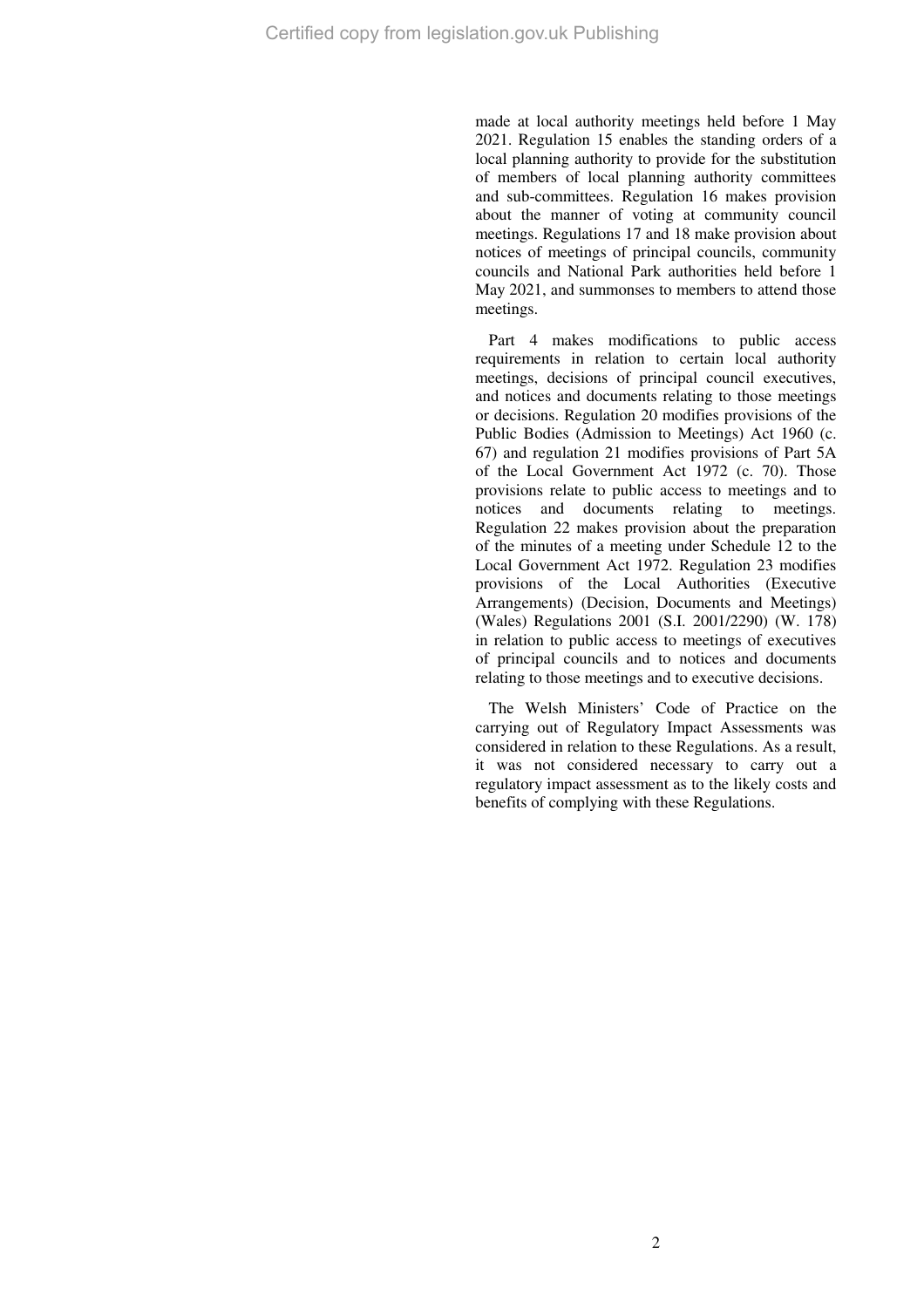made at local authority meetings held before 1 May 2021. Regulation 15 enables the standing orders of a local planning authority to provide for the substitution of members of local planning authority committees and sub-committees. Regulation 16 makes provision about the manner of voting at community council meetings. Regulations 17 and 18 make provision about notices of meetings of principal councils, community councils and National Park authorities held before 1 May 2021, and summonses to members to attend those meetings.

Part 4 makes modifications to public access requirements in relation to certain local authority meetings, decisions of principal council executives, and notices and documents relating to those meetings or decisions. Regulation 20 modifies provisions of the Public Bodies (Admission to Meetings) Act 1960 (c. 67) and regulation 21 modifies provisions of Part 5A of the Local Government Act 1972 (c. 70). Those provisions relate to public access to meetings and to notices and documents relating to meetings. Regulation 22 makes provision about the preparation of the minutes of a meeting under Schedule 12 to the Local Government Act 1972. Regulation 23 modifies provisions of the Local Authorities (Executive Arrangements) (Decision, Documents and Meetings) (Wales) Regulations 2001 (S.I. 2001/2290) (W. 178) in relation to public access to meetings of executives of principal councils and to notices and documents relating to those meetings and to executive decisions.

The Welsh Ministers' Code of Practice on the carrying out of Regulatory Impact Assessments was considered in relation to these Regulations. As a result, it was not considered necessary to carry out a regulatory impact assessment as to the likely costs and benefits of complying with these Regulations.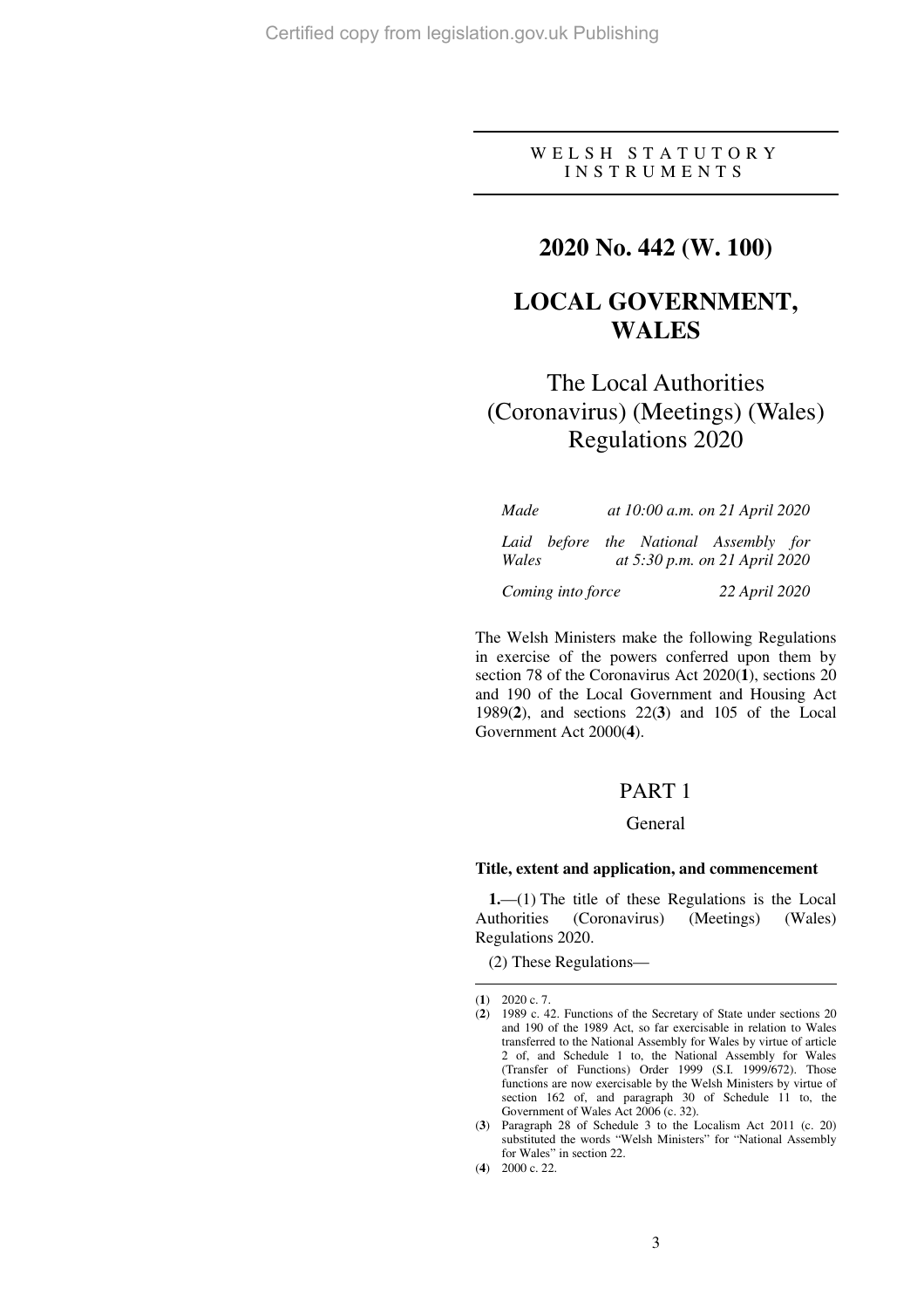## W E L S H S T A T U T O R Y I N S T R U M E N T S

# **2020 No. 442 (W. 100)**

# **LOCAL GOVERNMENT, WALES**

# The Local Authorities (Coronavirus) (Meetings) (Wales) Regulations 2020

| Made              | at 10:00 a.m. on 21 April 2020                                         |
|-------------------|------------------------------------------------------------------------|
| Wales             | Laid before the National Assembly for<br>at 5:30 p.m. on 21 April 2020 |
| Coming into force | 22 April 2020                                                          |

The Welsh Ministers make the following Regulations in exercise of the powers conferred upon them by section 78 of the Coronavirus Act 2020(**1**), sections 20 and 190 of the Local Government and Housing Act 1989(**2**), and sections 22(**3**) and 105 of the Local Government Act 2000(**4**).

# PART 1

## General

## **Title, extent and application, and commencement**

**1.**—(1) The title of these Regulations is the Local Authorities (Coronavirus) (Meetings) (Wales) Regulations 2020.

(2) These Regulations—

 $\overline{a}$ (**1**) 2020 c. 7.

<sup>(</sup>**2**) 1989 c. 42. Functions of the Secretary of State under sections 20 and 190 of the 1989 Act, so far exercisable in relation to Wales transferred to the National Assembly for Wales by virtue of article 2 of, and Schedule 1 to, the National Assembly for Wales (Transfer of Functions) Order 1999 (S.I. 1999/672). Those functions are now exercisable by the Welsh Ministers by virtue of section 162 of, and paragraph 30 of Schedule 11 to, the Government of Wales Act 2006 (c. 32).

<sup>(</sup>**3**) Paragraph 28 of Schedule 3 to the Localism Act 2011 (c. 20) substituted the words "Welsh Ministers" for "National Assembly for Wales" in section 22.

<sup>(</sup>**4**) 2000 c. 22.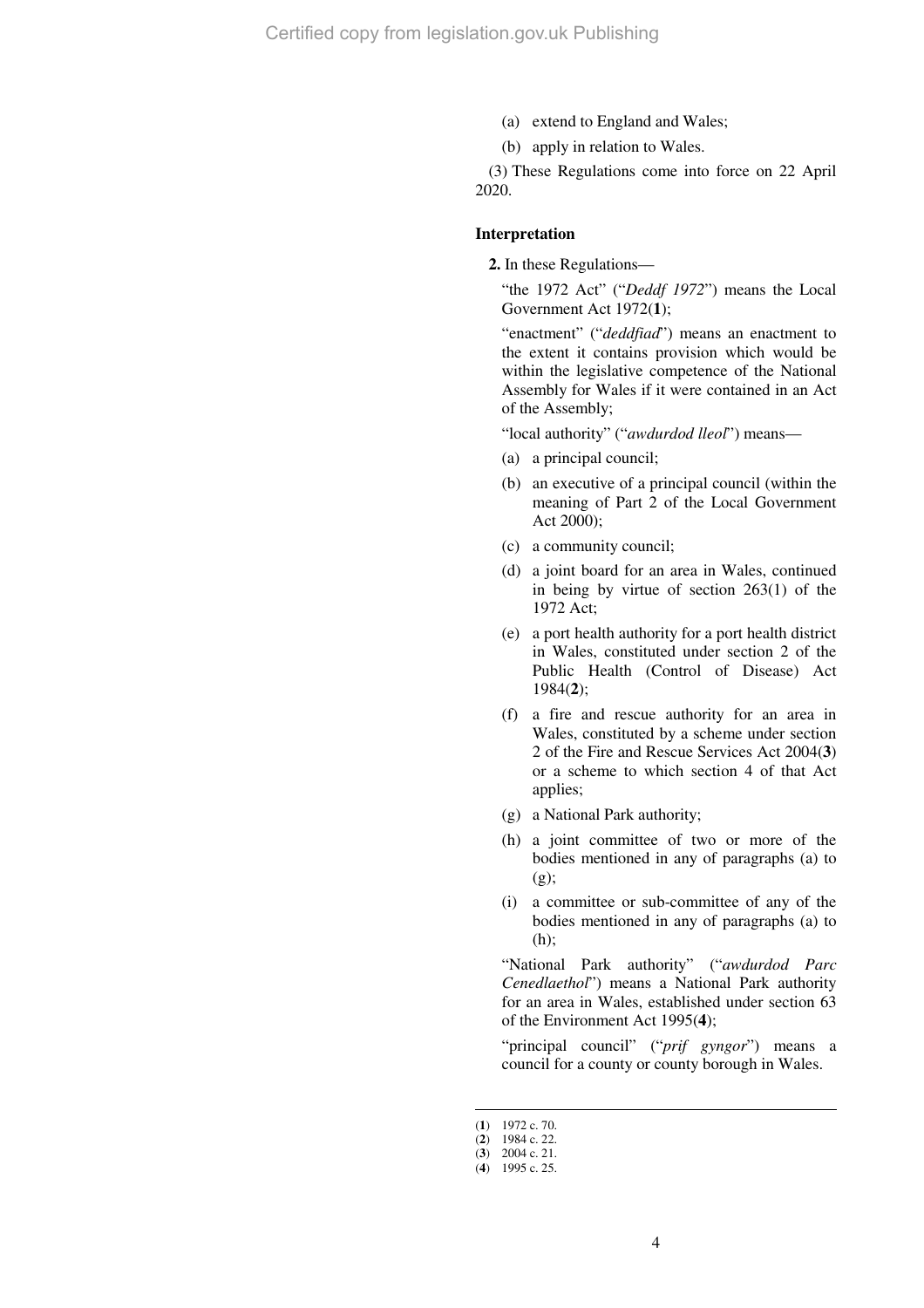- (a) extend to England and Wales;
- (b) apply in relation to Wales.

(3) These Regulations come into force on 22 April 2020.

#### **Interpretation**

**2.** In these Regulations—

"the 1972 Act" ("*Deddf 1972*") means the Local Government Act 1972(**1**);

"enactment" ("*deddfiad*") means an enactment to the extent it contains provision which would be within the legislative competence of the National Assembly for Wales if it were contained in an Act of the Assembly;

"local authority" ("*awdurdod lleol*") means—

- (a) a principal council;
- (b) an executive of a principal council (within the meaning of Part 2 of the Local Government Act 2000);
- (c) a community council;
- (d) a joint board for an area in Wales, continued in being by virtue of section 263(1) of the 1972 Act;
- (e) a port health authority for a port health district in Wales, constituted under section 2 of the Public Health (Control of Disease) Act 1984(**2**);
- (f) a fire and rescue authority for an area in Wales, constituted by a scheme under section 2 of the Fire and Rescue Services Act 2004(**3**) or a scheme to which section 4 of that Act applies;
- (g) a National Park authority;
- (h) a joint committee of two or more of the bodies mentioned in any of paragraphs (a) to (g);
- (i) a committee or sub-committee of any of the bodies mentioned in any of paragraphs (a) to (h);

"National Park authority" ("*awdurdod Parc Cenedlaethol*") means a National Park authority for an area in Wales, established under section 63 of the Environment Act 1995(**4**);

"principal council" ("*prif gyngor*") means a council for a county or county borough in Wales.

<sup>(</sup>**1**) 1972 c. 70.

<sup>(</sup>**2**) 1984 c. 22.

<sup>(</sup>**3**) 2004 c. 21. (**4**) 1995 c. 25.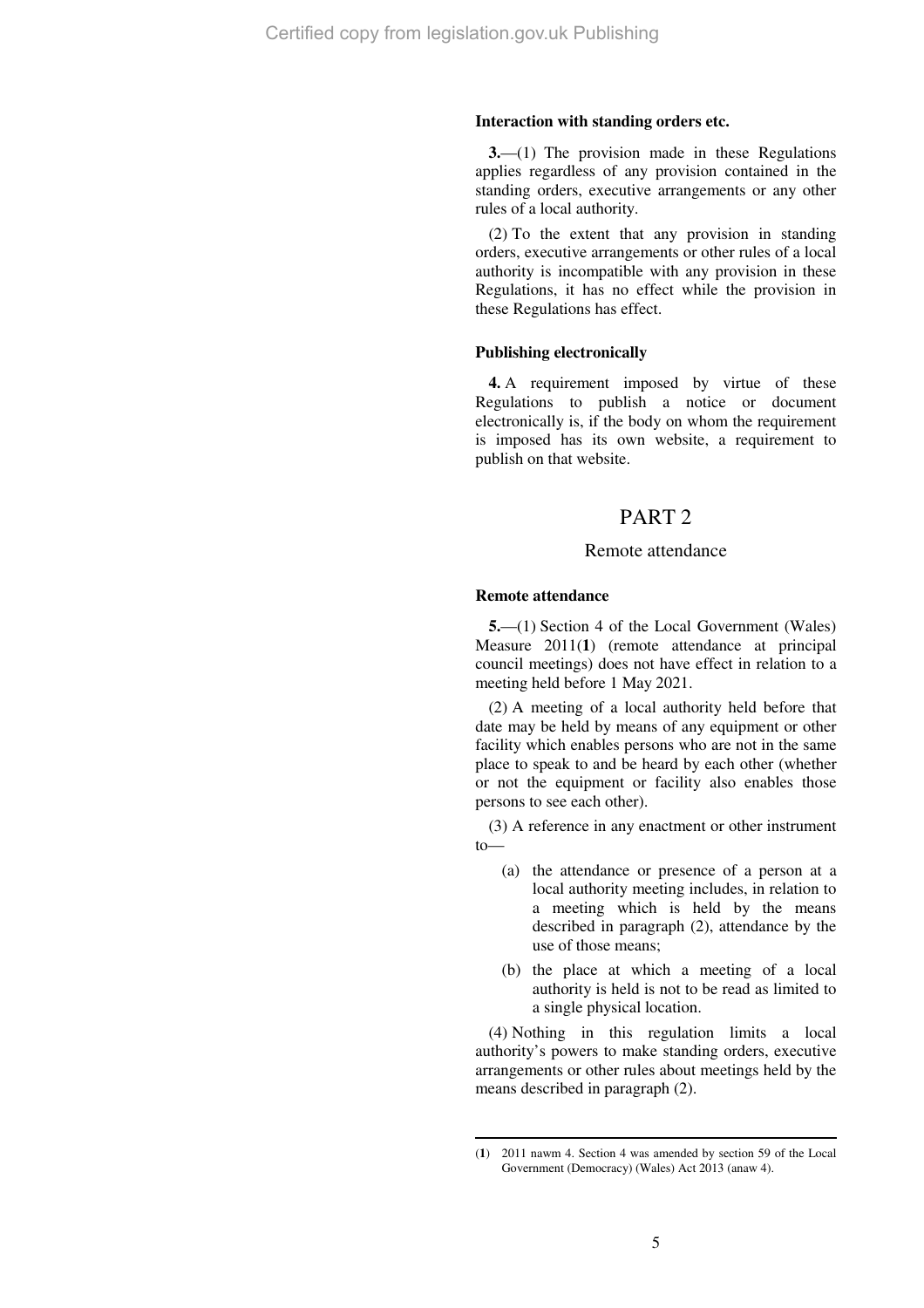#### **Interaction with standing orders etc.**

**3.**—(1) The provision made in these Regulations applies regardless of any provision contained in the standing orders, executive arrangements or any other rules of a local authority.

(2) To the extent that any provision in standing orders, executive arrangements or other rules of a local authority is incompatible with any provision in these Regulations, it has no effect while the provision in these Regulations has effect.

#### **Publishing electronically**

**4.** A requirement imposed by virtue of these Regulations to publish a notice or document electronically is, if the body on whom the requirement is imposed has its own website, a requirement to publish on that website.

# PART 2

## Remote attendance

#### **Remote attendance**

 $\overline{a}$ 

**5.**—(1) Section 4 of the Local Government (Wales) Measure 2011(1) (remote attendance at principal council meetings) does not have effect in relation to a meeting held before 1 May 2021.

(2) A meeting of a local authority held before that date may be held by means of any equipment or other facility which enables persons who are not in the same place to speak to and be heard by each other (whether or not the equipment or facility also enables those persons to see each other).

(3) A reference in any enactment or other instrument to—

- (a) the attendance or presence of a person at a local authority meeting includes, in relation to a meeting which is held by the means described in paragraph (2), attendance by the use of those means;
- (b) the place at which a meeting of a local authority is held is not to be read as limited to a single physical location.

(4) Nothing in this regulation limits a local authority's powers to make standing orders, executive arrangements or other rules about meetings held by the means described in paragraph (2).

<sup>(</sup>**1**) 2011 nawm 4. Section 4 was amended by section 59 of the Local Government (Democracy) (Wales) Act 2013 (anaw 4).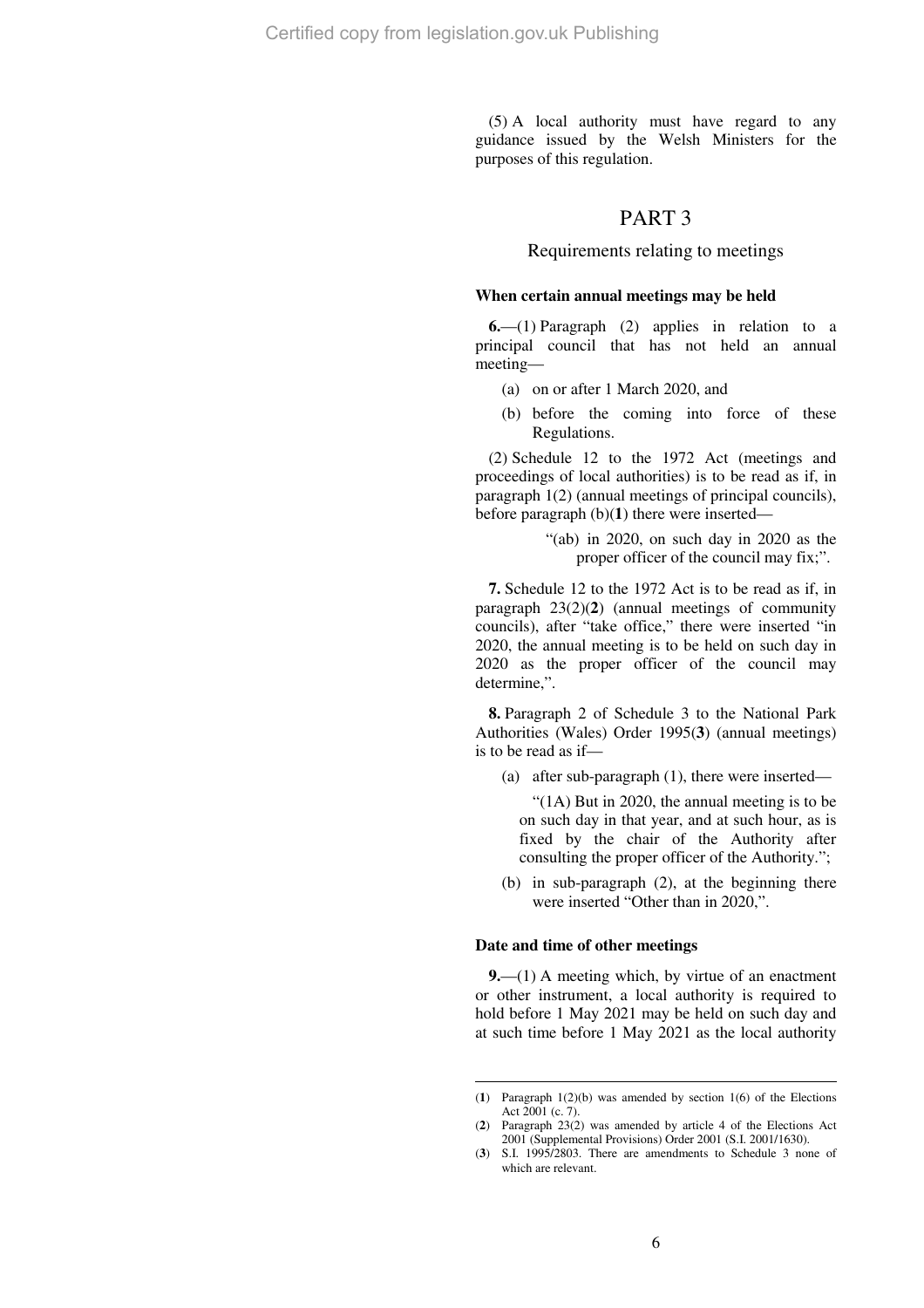(5) A local authority must have regard to any guidance issued by the Welsh Ministers for the purposes of this regulation.

## PART 3

## Requirements relating to meetings

#### **When certain annual meetings may be held**

**6.**—(1) Paragraph (2) applies in relation to a principal council that has not held an annual meeting—

- (a) on or after 1 March 2020, and
- (b) before the coming into force of these Regulations.

(2) Schedule 12 to the 1972 Act (meetings and proceedings of local authorities) is to be read as if, in paragraph 1(2) (annual meetings of principal councils), before paragraph (b)(**1**) there were inserted—

> "(ab) in 2020, on such day in 2020 as the proper officer of the council may fix;".

**7.** Schedule 12 to the 1972 Act is to be read as if, in paragraph 23(2)(**2**) (annual meetings of community councils), after "take office," there were inserted "in 2020, the annual meeting is to be held on such day in 2020 as the proper officer of the council may determine,".

**8.** Paragraph 2 of Schedule 3 to the National Park Authorities (Wales) Order 1995(**3**) (annual meetings) is to be read as if—

(a) after sub-paragraph (1), there were inserted—

"(1A) But in 2020, the annual meeting is to be on such day in that year, and at such hour, as is fixed by the chair of the Authority after consulting the proper officer of the Authority.";

(b) in sub-paragraph (2), at the beginning there were inserted "Other than in 2020,".

#### **Date and time of other meetings**

 $\overline{a}$ 

**9.**—(1) A meeting which, by virtue of an enactment or other instrument, a local authority is required to hold before 1 May 2021 may be held on such day and at such time before 1 May 2021 as the local authority

<sup>(</sup>**1**) Paragraph 1(2)(b) was amended by section 1(6) of the Elections Act 2001 (c. 7).

<sup>(</sup>**2**) Paragraph 23(2) was amended by article 4 of the Elections Act 2001 (Supplemental Provisions) Order 2001 (S.I. 2001/1630).

<sup>(</sup>**3**) S.I. 1995/2803. There are amendments to Schedule 3 none of which are relevant.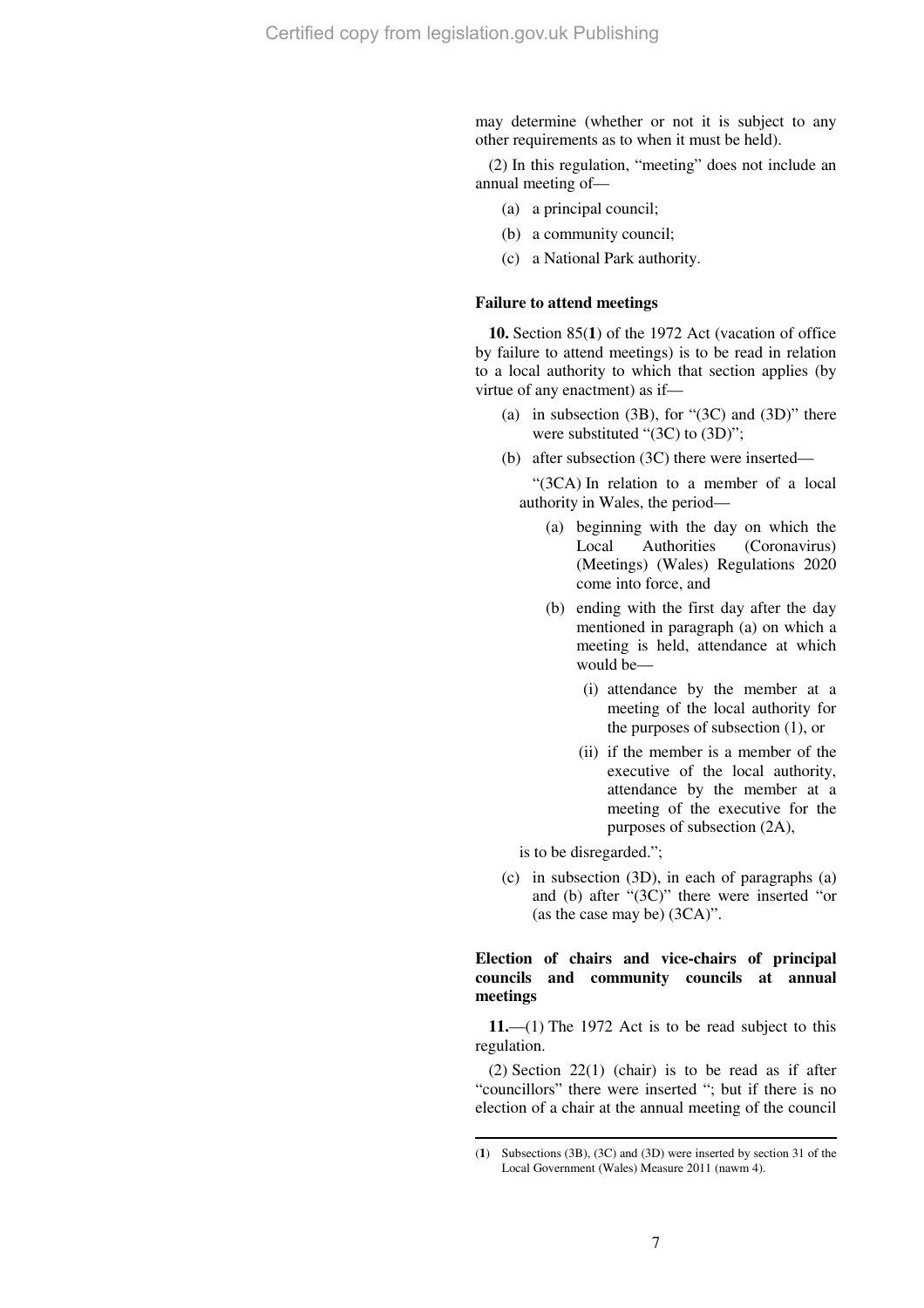may determine (whether or not it is subject to any other requirements as to when it must be held).

(2) In this regulation, "meeting" does not include an annual meeting of—

- (a) a principal council;
- (b) a community council;
- (c) a National Park authority.

#### **Failure to attend meetings**

**10.** Section 85(**1**) of the 1972 Act (vacation of office by failure to attend meetings) is to be read in relation to a local authority to which that section applies (by virtue of any enactment) as if—

- (a) in subsection  $(3B)$ , for " $(3C)$  and  $(3D)$ " there were substituted "(3C) to (3D)";
- (b) after subsection (3C) there were inserted—

"(3CA) In relation to a member of a local authority in Wales, the period—

- (a) beginning with the day on which the Local Authorities (Coronavirus) (Meetings) (Wales) Regulations 2020 come into force, and
- (b) ending with the first day after the day mentioned in paragraph (a) on which a meeting is held, attendance at which would be—
	- (i) attendance by the member at a meeting of the local authority for the purposes of subsection (1), or
	- (ii) if the member is a member of the executive of the local authority, attendance by the member at a meeting of the executive for the purposes of subsection (2A),

is to be disregarded.";

 $\overline{a}$ 

(c) in subsection (3D), in each of paragraphs (a) and (b) after "(3C)" there were inserted "or (as the case may be) (3CA)".

## **Election of chairs and vice-chairs of principal councils and community councils at annual meetings**

**11.**—(1) The 1972 Act is to be read subject to this regulation.

(2) Section 22(1) (chair) is to be read as if after "councillors" there were inserted "; but if there is no election of a chair at the annual meeting of the council

<sup>(</sup>**1**) Subsections (3B), (3C) and (3D) were inserted by section 31 of the Local Government (Wales) Measure 2011 (nawm 4).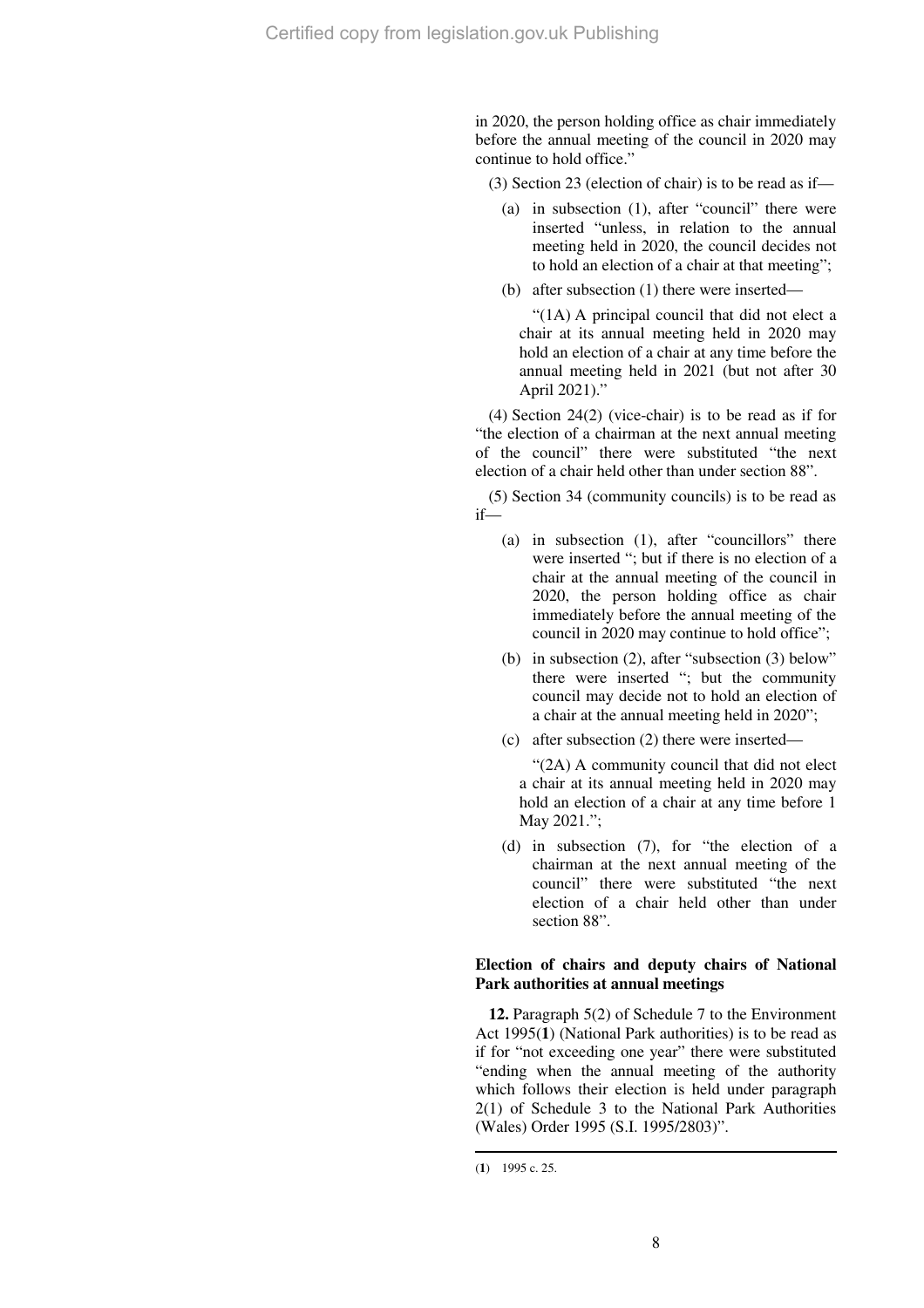in 2020, the person holding office as chair immediately before the annual meeting of the council in 2020 may continue to hold office."

(3) Section 23 (election of chair) is to be read as if—

- (a) in subsection (1), after "council" there were inserted "unless, in relation to the annual meeting held in 2020, the council decides not to hold an election of a chair at that meeting";
- (b) after subsection (1) there were inserted—

"(1A) A principal council that did not elect a chair at its annual meeting held in 2020 may hold an election of a chair at any time before the annual meeting held in 2021 (but not after 30 April 2021)."

(4) Section 24(2) (vice-chair) is to be read as if for "the election of a chairman at the next annual meeting of the council" there were substituted "the next election of a chair held other than under section 88".

(5) Section 34 (community councils) is to be read as if—

- (a) in subsection (1), after "councillors" there were inserted "; but if there is no election of a chair at the annual meeting of the council in 2020, the person holding office as chair immediately before the annual meeting of the council in 2020 may continue to hold office";
- (b) in subsection (2), after "subsection (3) below" there were inserted "; but the community council may decide not to hold an election of a chair at the annual meeting held in 2020";
- (c) after subsection (2) there were inserted—

"(2A) A community council that did not elect a chair at its annual meeting held in 2020 may hold an election of a chair at any time before 1 May 2021.";

(d) in subsection (7), for "the election of a chairman at the next annual meeting of the council" there were substituted "the next election of a chair held other than under section 88".

## **Election of chairs and deputy chairs of National Park authorities at annual meetings**

**12.** Paragraph 5(2) of Schedule 7 to the Environment Act 1995(**1**) (National Park authorities) is to be read as if for "not exceeding one year" there were substituted "ending when the annual meeting of the authority which follows their election is held under paragraph 2(1) of Schedule 3 to the National Park Authorities (Wales) Order 1995 (S.I. 1995/2803)".

<sup>(</sup>**1**) 1995 c. 25.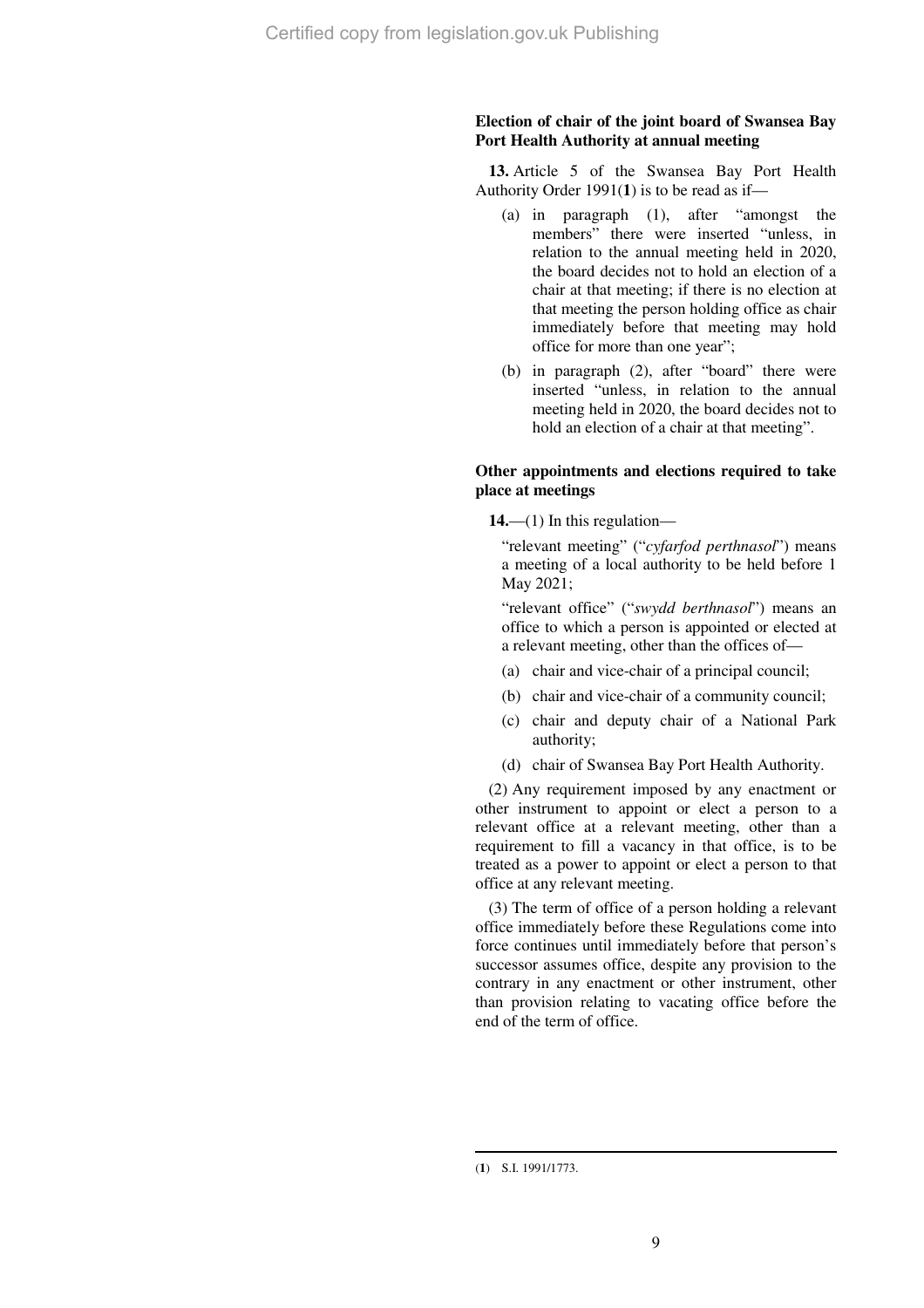## **Election of chair of the joint board of Swansea Bay Port Health Authority at annual meeting**

**13.** Article 5 of the Swansea Bay Port Health Authority Order 1991(**1**) is to be read as if—

- (a) in paragraph (1), after "amongst the members" there were inserted "unless, in relation to the annual meeting held in 2020, the board decides not to hold an election of a chair at that meeting; if there is no election at that meeting the person holding office as chair immediately before that meeting may hold office for more than one year";
- (b) in paragraph (2), after "board" there were inserted "unless, in relation to the annual meeting held in 2020, the board decides not to hold an election of a chair at that meeting".

## **Other appointments and elections required to take place at meetings**

**14.**—(1) In this regulation—

"relevant meeting" ("*cyfarfod perthnasol*") means a meeting of a local authority to be held before 1 May 2021;

"relevant office" ("*swydd berthnasol*") means an office to which a person is appointed or elected at a relevant meeting, other than the offices of—

- (a) chair and vice-chair of a principal council;
- (b) chair and vice-chair of a community council;
- (c) chair and deputy chair of a National Park authority;
- (d) chair of Swansea Bay Port Health Authority.

(2) Any requirement imposed by any enactment or other instrument to appoint or elect a person to a relevant office at a relevant meeting, other than a requirement to fill a vacancy in that office, is to be treated as a power to appoint or elect a person to that office at any relevant meeting.

(3) The term of office of a person holding a relevant office immediately before these Regulations come into force continues until immediately before that person's successor assumes office, despite any provision to the contrary in any enactment or other instrument, other than provision relating to vacating office before the end of the term of office.

<sup>(</sup>**1**) S.I. 1991/1773.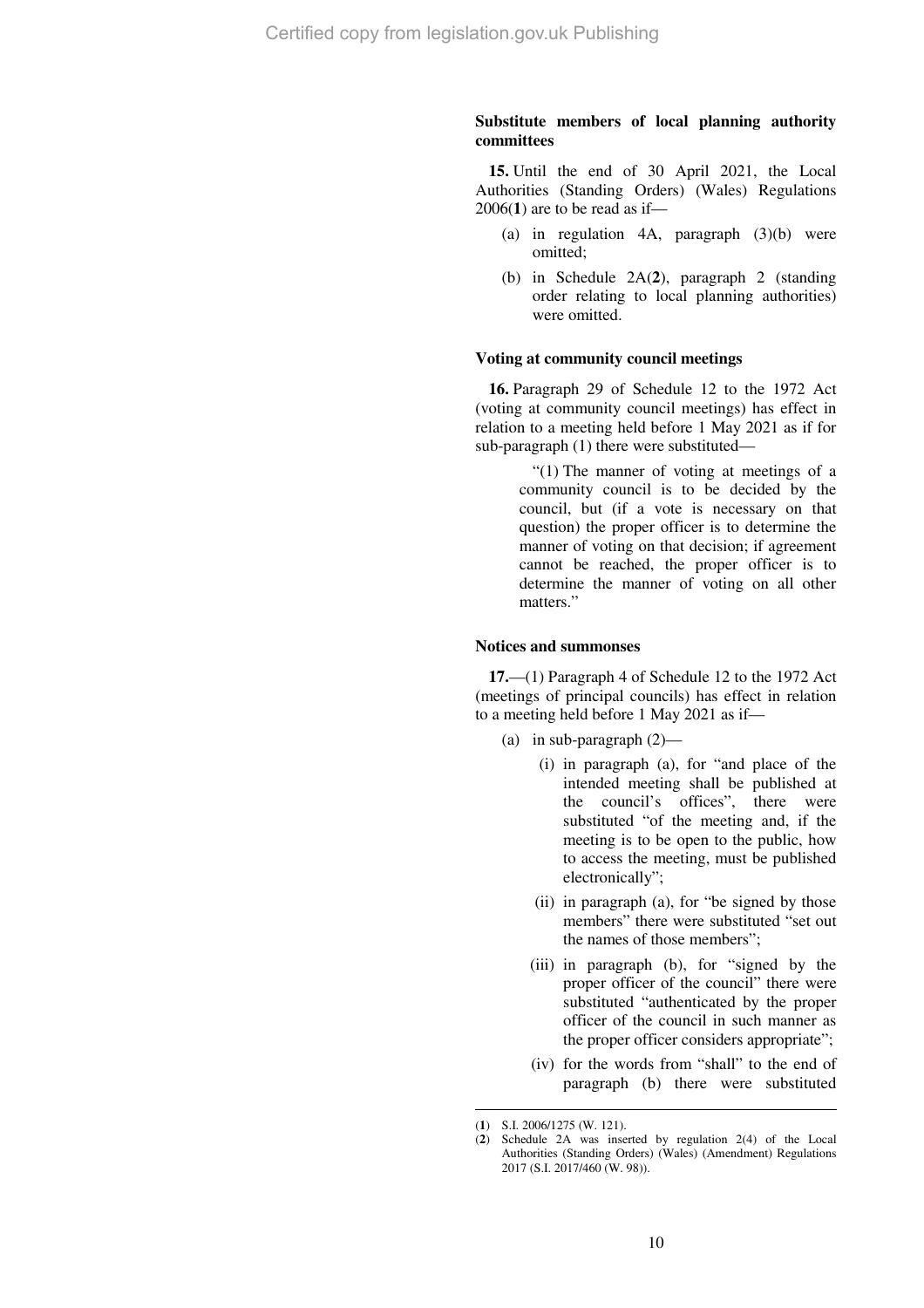## **Substitute members of local planning authority committees**

**15.** Until the end of 30 April 2021, the Local Authorities (Standing Orders) (Wales) Regulations 2006(**1**) are to be read as if—

- (a) in regulation  $4A$ , paragraph  $(3)(b)$  were omitted;
- (b) in Schedule 2A(**2**), paragraph 2 (standing order relating to local planning authorities) were omitted.

#### **Voting at community council meetings**

**16.** Paragraph 29 of Schedule 12 to the 1972 Act (voting at community council meetings) has effect in relation to a meeting held before 1 May 2021 as if for sub-paragraph (1) there were substituted—

> "(1) The manner of voting at meetings of a community council is to be decided by the council, but (if a vote is necessary on that question) the proper officer is to determine the manner of voting on that decision; if agreement cannot be reached, the proper officer is to determine the manner of voting on all other matters."

#### **Notices and summonses**

**17.**—(1) Paragraph 4 of Schedule 12 to the 1972 Act (meetings of principal councils) has effect in relation to a meeting held before 1 May 2021 as if—

- (a) in sub-paragraph  $(2)$ 
	- (i) in paragraph (a), for "and place of the intended meeting shall be published at the council's offices", there were substituted "of the meeting and, if the meeting is to be open to the public, how to access the meeting, must be published electronically";
	- (ii) in paragraph (a), for "be signed by those members" there were substituted "set out the names of those members";
	- (iii) in paragraph (b), for "signed by the proper officer of the council" there were substituted "authenticated by the proper officer of the council in such manner as the proper officer considers appropriate";
	- (iv) for the words from "shall" to the end of paragraph (b) there were substituted

<sup>(</sup>**1**) S.I. 2006/1275 (W. 121).

<sup>(</sup>**2**) Schedule 2A was inserted by regulation 2(4) of the Local Authorities (Standing Orders) (Wales) (Amendment) Regulations 2017 (S.I. 2017/460 (W. 98)).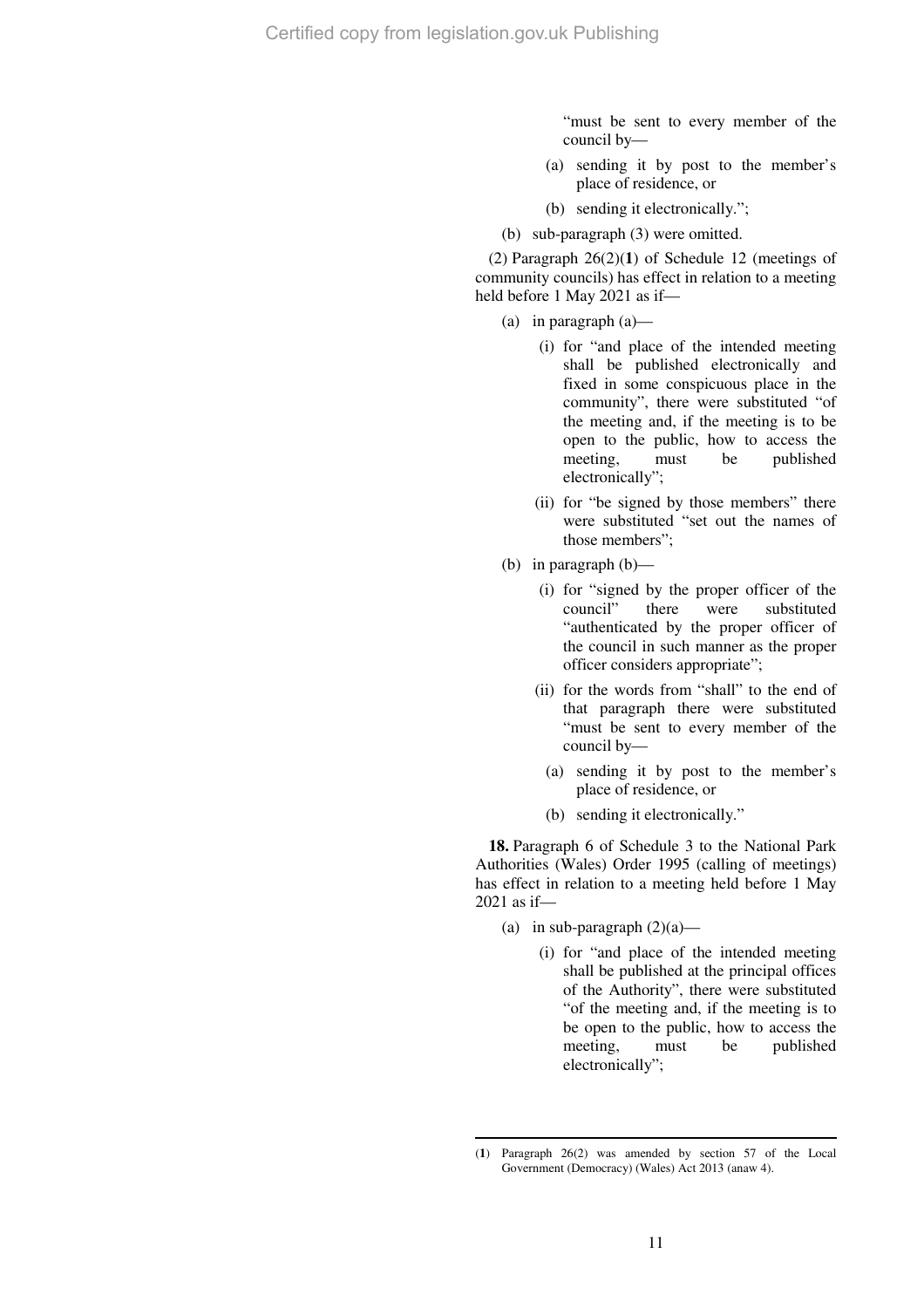"must be sent to every member of the council by—

- (a) sending it by post to the member's place of residence, or
- (b) sending it electronically.";
- (b) sub-paragraph (3) were omitted.

(2) Paragraph 26(2)(**1**) of Schedule 12 (meetings of community councils) has effect in relation to a meeting held before 1 May 2021 as if—

- (a) in paragraph (a)—
	- (i) for "and place of the intended meeting shall be published electronically and fixed in some conspicuous place in the community", there were substituted "of the meeting and, if the meeting is to be open to the public, how to access the meeting, must be published electronically";
	- (ii) for "be signed by those members" there were substituted "set out the names of those members";
- (b) in paragraph (b)—
	- (i) for "signed by the proper officer of the council" there were substituted "authenticated by the proper officer of the council in such manner as the proper officer considers appropriate";
	- (ii) for the words from "shall" to the end of that paragraph there were substituted "must be sent to every member of the council by—
		- (a) sending it by post to the member's place of residence, or
		- (b) sending it electronically."

**18.** Paragraph 6 of Schedule 3 to the National Park Authorities (Wales) Order 1995 (calling of meetings) has effect in relation to a meeting held before 1 May 2021 as if—

(a) in sub-paragraph  $(2)(a)$ —

 $\overline{a}$ 

(i) for "and place of the intended meeting shall be published at the principal offices of the Authority", there were substituted "of the meeting and, if the meeting is to be open to the public, how to access the meeting, must be published electronically";

<sup>(</sup>**1**) Paragraph 26(2) was amended by section 57 of the Local Government (Democracy) (Wales) Act 2013 (anaw 4).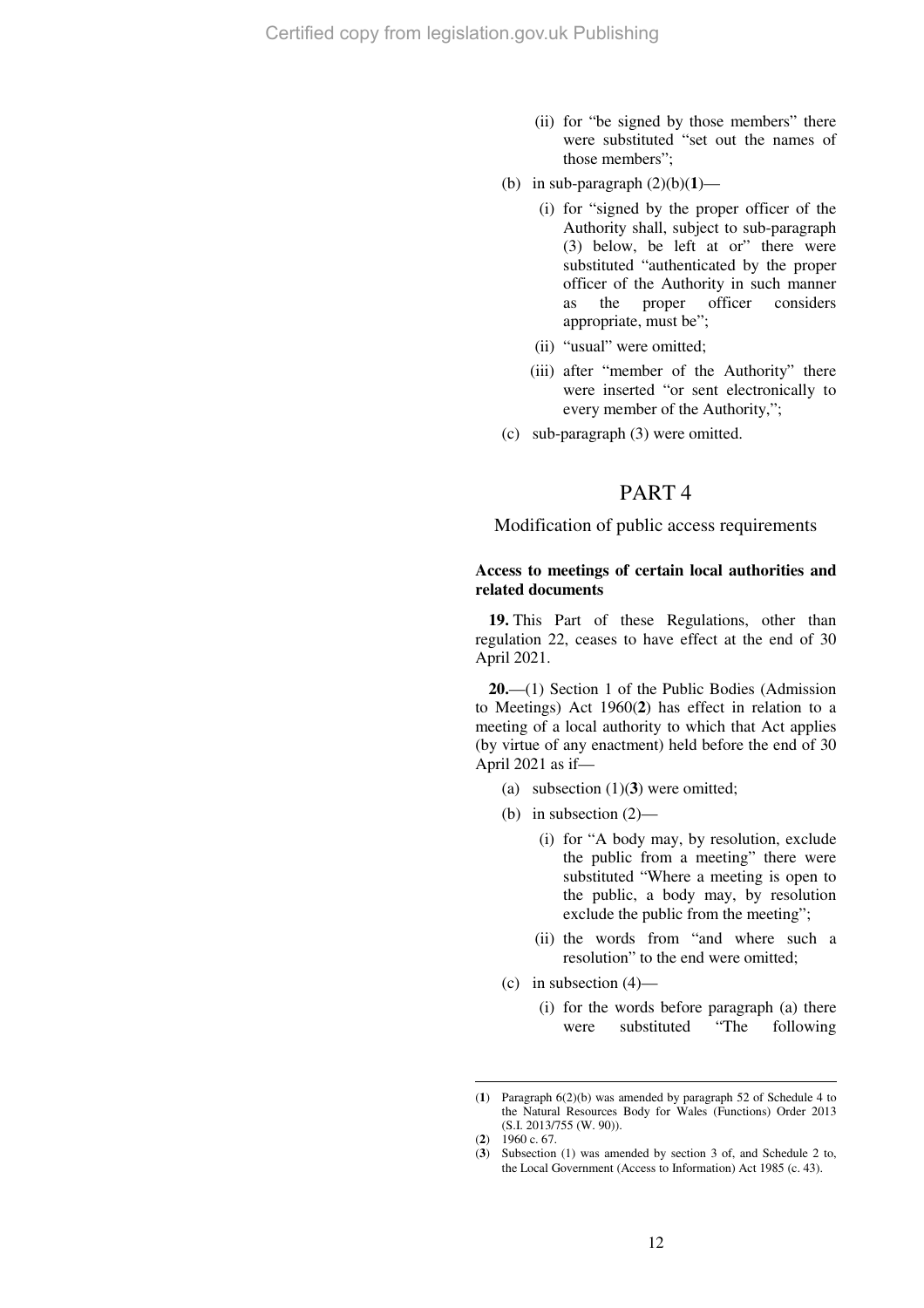- (ii) for "be signed by those members" there were substituted "set out the names of those members";
- (b) in sub-paragraph  $(2)(b)(1)$ 
	- (i) for "signed by the proper officer of the Authority shall, subject to sub-paragraph (3) below, be left at or" there were substituted "authenticated by the proper officer of the Authority in such manner as the proper officer considers appropriate, must be";
	- (ii) "usual" were omitted;
	- (iii) after "member of the Authority" there were inserted "or sent electronically to every member of the Authority,";
- (c) sub-paragraph (3) were omitted.

# PART 4

## Modification of public access requirements

## **Access to meetings of certain local authorities and related documents**

**19.** This Part of these Regulations, other than regulation 22, ceases to have effect at the end of 30 April 2021.

**20.**—(1) Section 1 of the Public Bodies (Admission to Meetings) Act 1960(**2**) has effect in relation to a meeting of a local authority to which that Act applies (by virtue of any enactment) held before the end of 30 April 2021 as if—

- (a) subsection (1)(**3**) were omitted;
- (b) in subsection (2)—
	- (i) for "A body may, by resolution, exclude the public from a meeting" there were substituted "Where a meeting is open to the public, a body may, by resolution exclude the public from the meeting";
	- (ii) the words from "and where such a resolution" to the end were omitted;
- (c) in subsection  $(4)$ 
	- (i) for the words before paragraph (a) there<br>were substituted "The following were substituted "The following

<sup>(</sup>**1**) Paragraph 6(2)(b) was amended by paragraph 52 of Schedule 4 to the Natural Resources Body for Wales (Functions) Order 2013 (S.I. 2013/755 (W. 90)).

<sup>(</sup>**2**) 1960 c. 67.

<sup>(</sup>**3**) Subsection (1) was amended by section 3 of, and Schedule 2 to, the Local Government (Access to Information) Act 1985 (c. 43).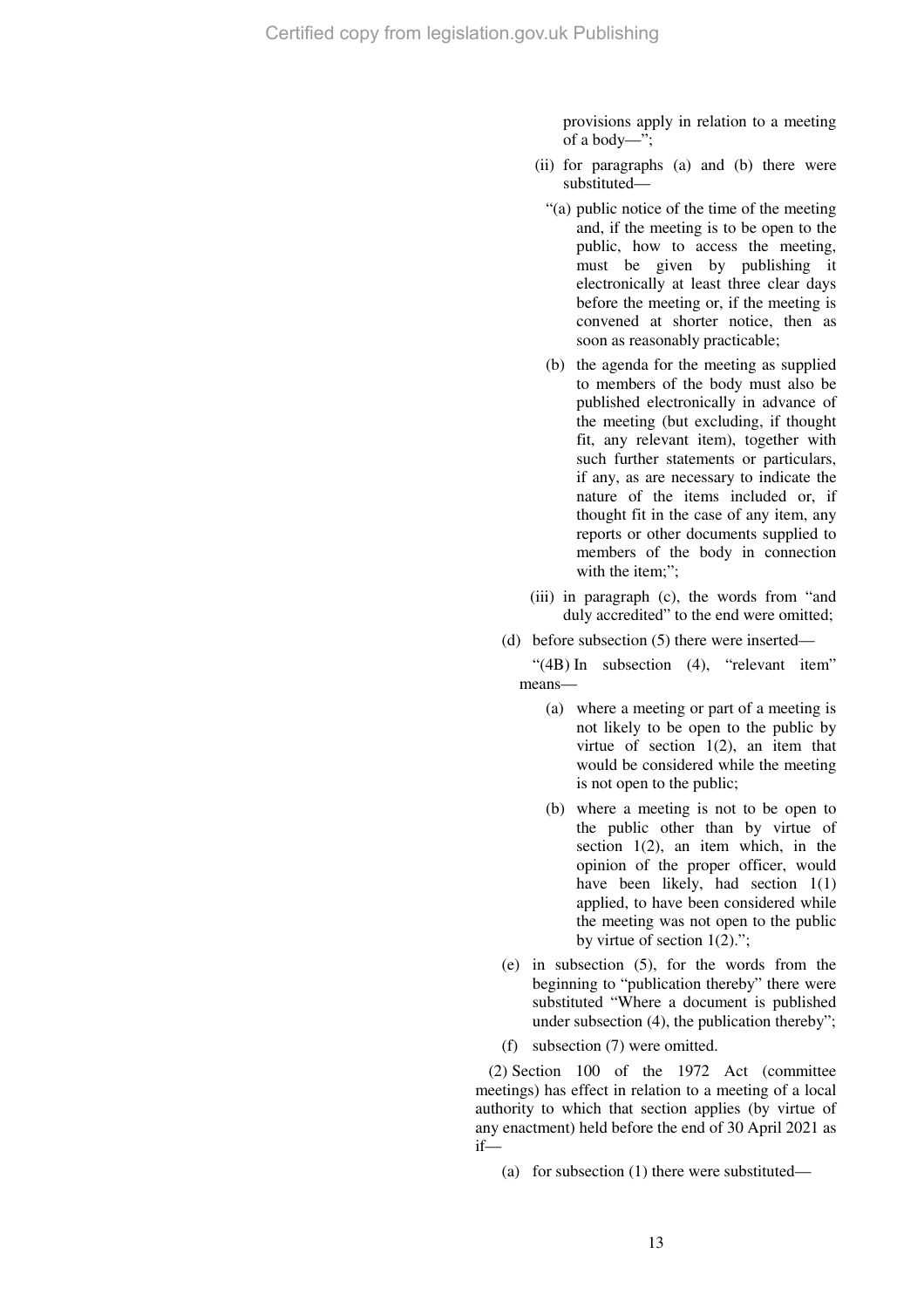provisions apply in relation to a meeting of a body—";

- (ii) for paragraphs (a) and (b) there were substituted—
	- "(a) public notice of the time of the meeting and, if the meeting is to be open to the public, how to access the meeting, must be given by publishing it electronically at least three clear days before the meeting or, if the meeting is convened at shorter notice, then as soon as reasonably practicable;
	- (b) the agenda for the meeting as supplied to members of the body must also be published electronically in advance of the meeting (but excluding, if thought fit, any relevant item), together with such further statements or particulars, if any, as are necessary to indicate the nature of the items included or, if thought fit in the case of any item, any reports or other documents supplied to members of the body in connection with the item:":
- (iii) in paragraph (c), the words from "and duly accredited" to the end were omitted;
- (d) before subsection (5) there were inserted—

"(4B) In subsection (4), "relevant item" means—

- (a) where a meeting or part of a meeting is not likely to be open to the public by virtue of section  $1(2)$ , an item that would be considered while the meeting is not open to the public;
- (b) where a meeting is not to be open to the public other than by virtue of section  $1(2)$ , an item which, in the opinion of the proper officer, would have been likely, had section  $1(1)$ applied, to have been considered while the meeting was not open to the public by virtue of section 1(2).";
- (e) in subsection (5), for the words from the beginning to "publication thereby" there were substituted "Where a document is published under subsection (4), the publication thereby";
- (f) subsection (7) were omitted.

(2) Section 100 of the 1972 Act (committee meetings) has effect in relation to a meeting of a local authority to which that section applies (by virtue of any enactment) held before the end of 30 April 2021 as if—

(a) for subsection (1) there were substituted—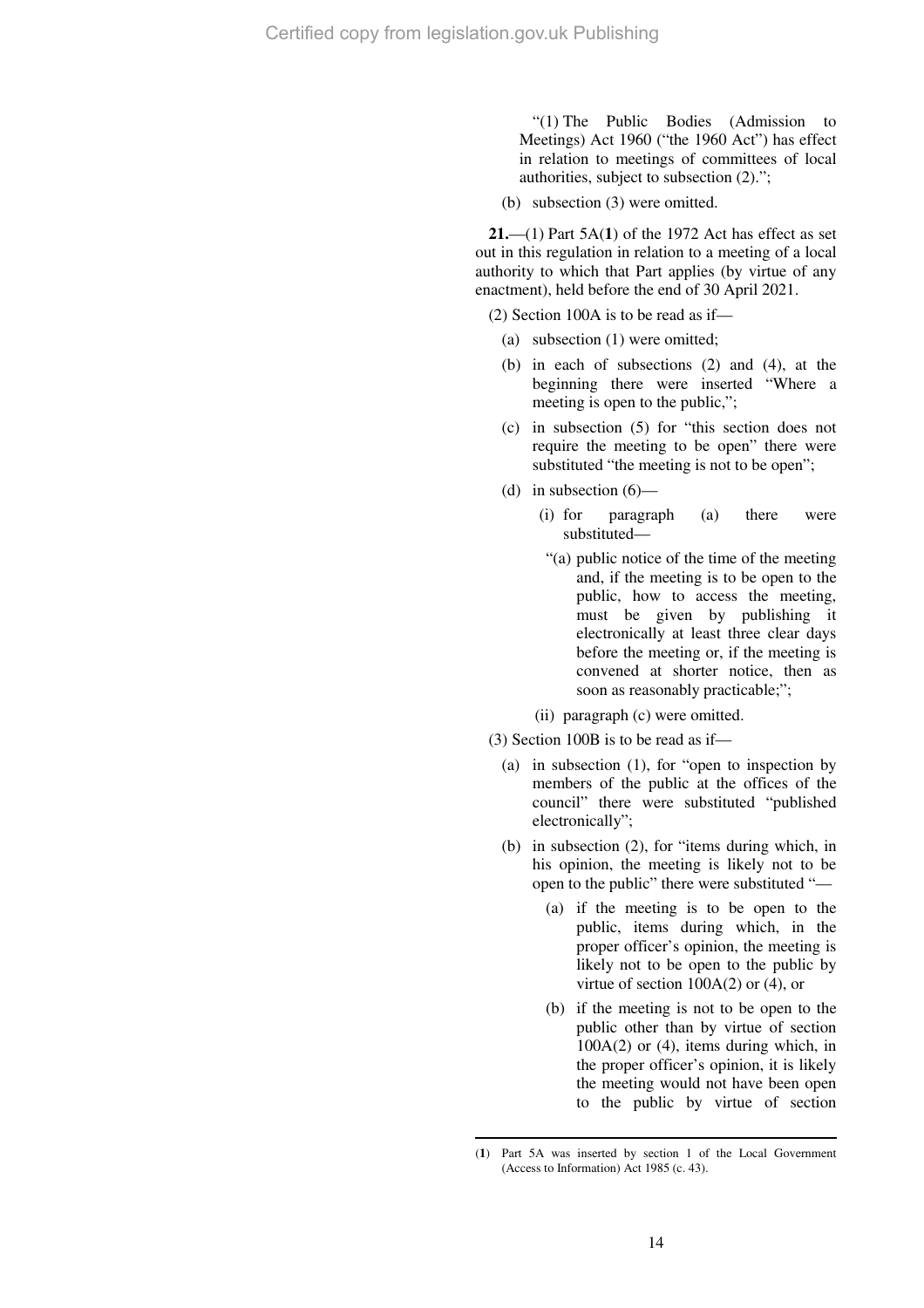"(1) The Public Bodies (Admission to Meetings) Act 1960 ("the 1960 Act") has effect in relation to meetings of committees of local authorities, subject to subsection (2).";

(b) subsection (3) were omitted.

**21.**—(1) Part 5A(**1**) of the 1972 Act has effect as set out in this regulation in relation to a meeting of a local authority to which that Part applies (by virtue of any enactment), held before the end of 30 April 2021.

(2) Section 100A is to be read as if—

- (a) subsection (1) were omitted;
- (b) in each of subsections (2) and (4), at the beginning there were inserted "Where a meeting is open to the public,";
- (c) in subsection (5) for "this section does not require the meeting to be open" there were substituted "the meeting is not to be open";
- (d) in subsection  $(6)$ 
	- (i) for paragraph (a) there were substituted—
	- "(a) public notice of the time of the meeting and, if the meeting is to be open to the public, how to access the meeting, must be given by publishing it electronically at least three clear days before the meeting or, if the meeting is convened at shorter notice, then as soon as reasonably practicable;";
	- (ii) paragraph (c) were omitted.
- (3) Section 100B is to be read as if—
	- (a) in subsection (1), for "open to inspection by members of the public at the offices of the council" there were substituted "published electronically";
	- (b) in subsection (2), for "items during which, in his opinion, the meeting is likely not to be open to the public" there were substituted "—
		- (a) if the meeting is to be open to the public, items during which, in the proper officer's opinion, the meeting is likely not to be open to the public by virtue of section  $100A(2)$  or  $(4)$ , or
		- (b) if the meeting is not to be open to the public other than by virtue of section  $100A(2)$  or  $(4)$ , items during which, in the proper officer's opinion, it is likely the meeting would not have been open to the public by virtue of section

 $\overline{a}$ (**1**) Part 5A was inserted by section 1 of the Local Government (Access to Information) Act 1985 (c. 43).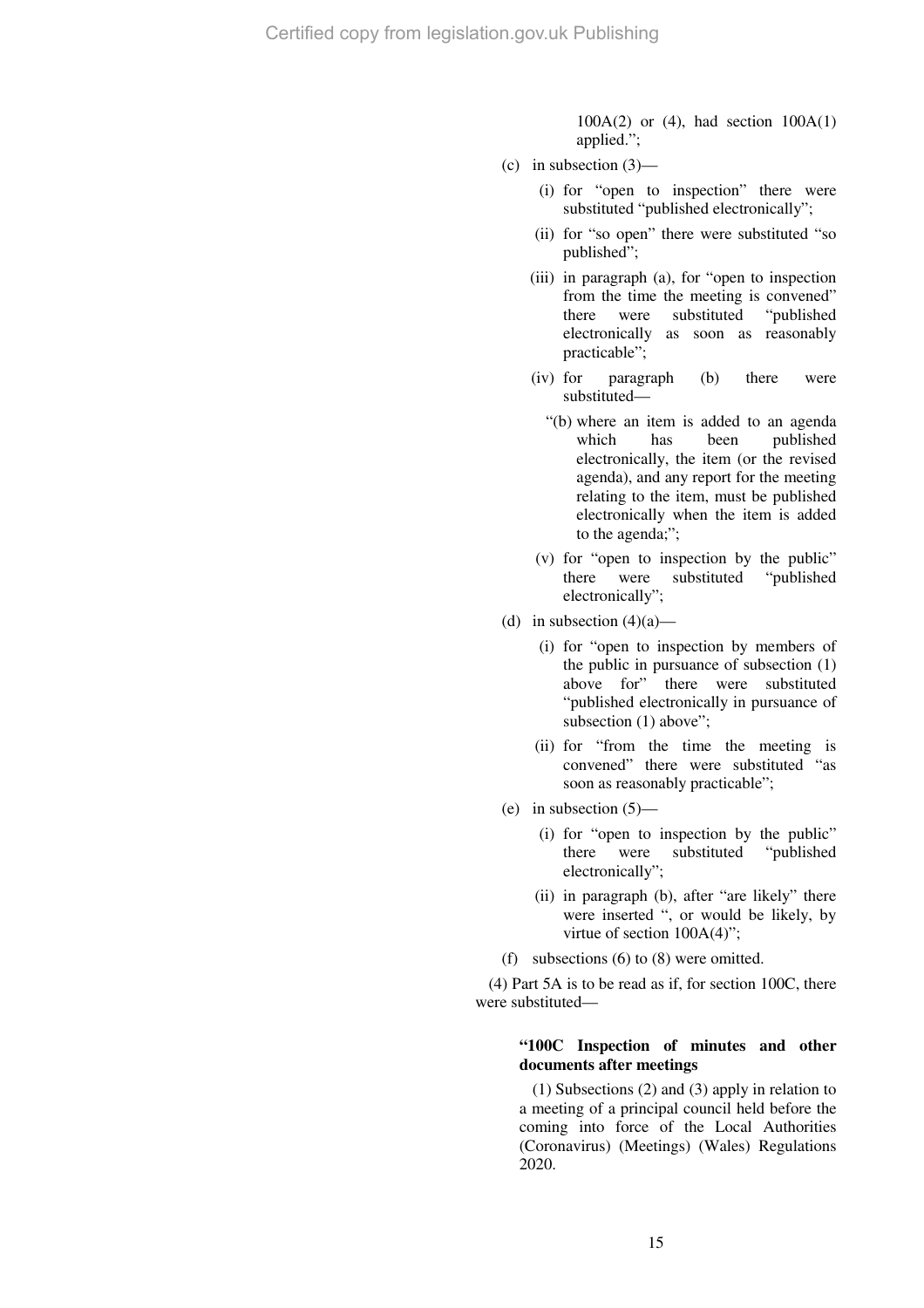$100A(2)$  or  $(4)$ , had section  $100A(1)$ applied.";

- (c) in subsection  $(3)$ 
	- (i) for "open to inspection" there were substituted "published electronically";
	- (ii) for "so open" there were substituted "so published";
	- (iii) in paragraph (a), for "open to inspection from the time the meeting is convened" there were substituted "published electronically as soon as reasonably practicable";
	- (iv) for paragraph (b) there were substituted—
		- "(b) where an item is added to an agenda which has been published electronically, the item (or the revised agenda), and any report for the meeting relating to the item, must be published electronically when the item is added to the agenda;";
	- (v) for "open to inspection by the public" there were substituted "published electronically";
- (d) in subsection  $(4)(a)$ 
	- (i) for "open to inspection by members of the public in pursuance of subsection (1) above for" there were substituted "published electronically in pursuance of subsection (1) above";
	- (ii) for "from the time the meeting is convened" there were substituted "as soon as reasonably practicable";
- (e) in subsection  $(5)$ 
	- (i) for "open to inspection by the public" there were substituted "published electronically";
	- (ii) in paragraph (b), after "are likely" there were inserted ", or would be likely, by virtue of section 100A(4)";
- (f) subsections (6) to (8) were omitted.

(4) Part 5A is to be read as if, for section 100C, there were substituted—

## **"100C Inspection of minutes and other documents after meetings**

(1) Subsections (2) and (3) apply in relation to a meeting of a principal council held before the coming into force of the Local Authorities (Coronavirus) (Meetings) (Wales) Regulations 2020.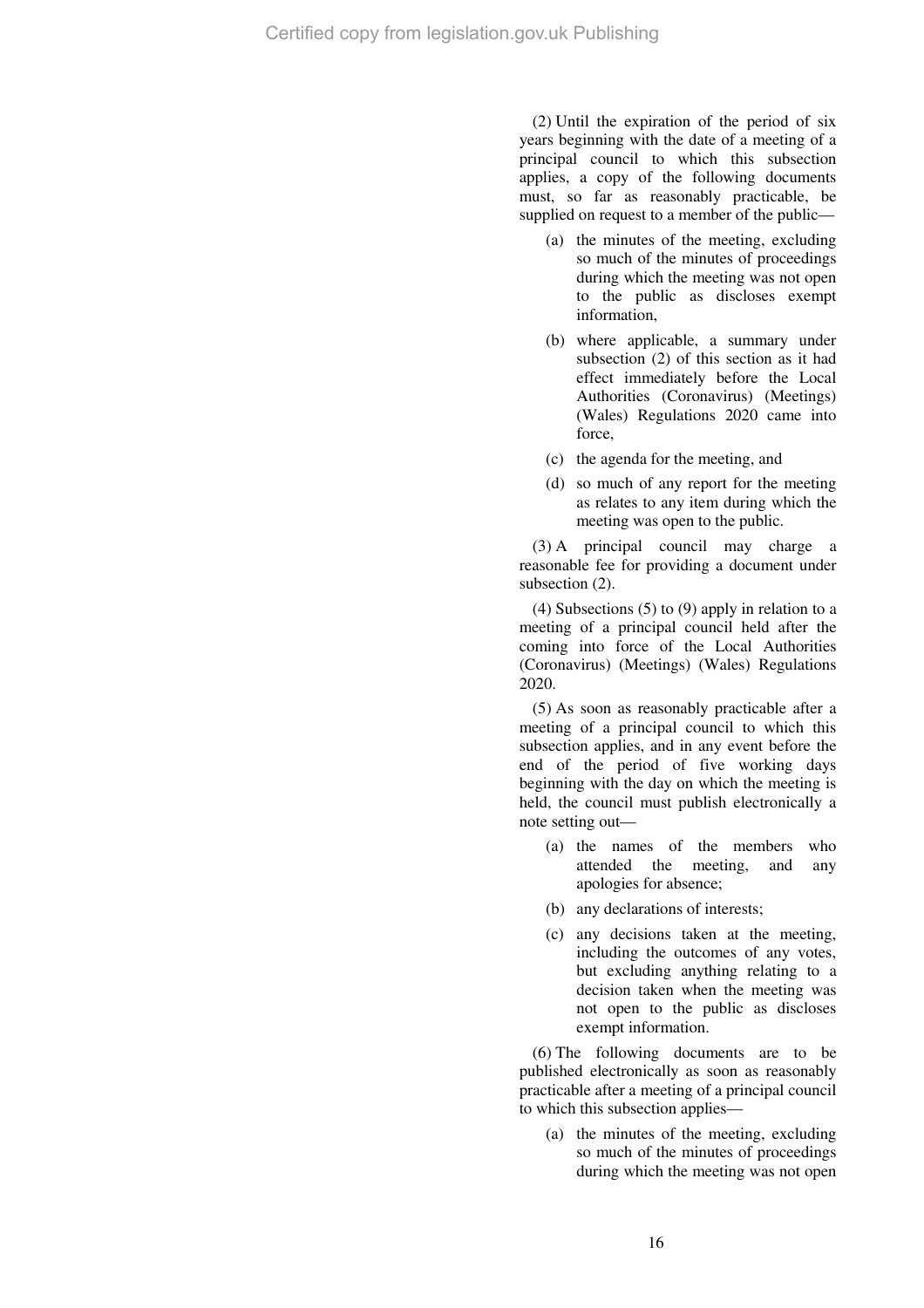(2) Until the expiration of the period of six years beginning with the date of a meeting of a principal council to which this subsection applies, a copy of the following documents must, so far as reasonably practicable, be supplied on request to a member of the public—

- (a) the minutes of the meeting, excluding so much of the minutes of proceedings during which the meeting was not open to the public as discloses exempt information,
- (b) where applicable, a summary under subsection (2) of this section as it had effect immediately before the Local Authorities (Coronavirus) (Meetings) (Wales) Regulations 2020 came into force,
- (c) the agenda for the meeting, and
- (d) so much of any report for the meeting as relates to any item during which the meeting was open to the public.

(3) A principal council may charge a reasonable fee for providing a document under subsection (2).

(4) Subsections (5) to (9) apply in relation to a meeting of a principal council held after the coming into force of the Local Authorities (Coronavirus) (Meetings) (Wales) Regulations 2020.

(5) As soon as reasonably practicable after a meeting of a principal council to which this subsection applies, and in any event before the end of the period of five working days beginning with the day on which the meeting is held, the council must publish electronically a note setting out—

- (a) the names of the members who attended the meeting, and any apologies for absence;
- (b) any declarations of interests;
- (c) any decisions taken at the meeting, including the outcomes of any votes, but excluding anything relating to a decision taken when the meeting was not open to the public as discloses exempt information.

(6) The following documents are to be published electronically as soon as reasonably practicable after a meeting of a principal council to which this subsection applies—

(a) the minutes of the meeting, excluding so much of the minutes of proceedings during which the meeting was not open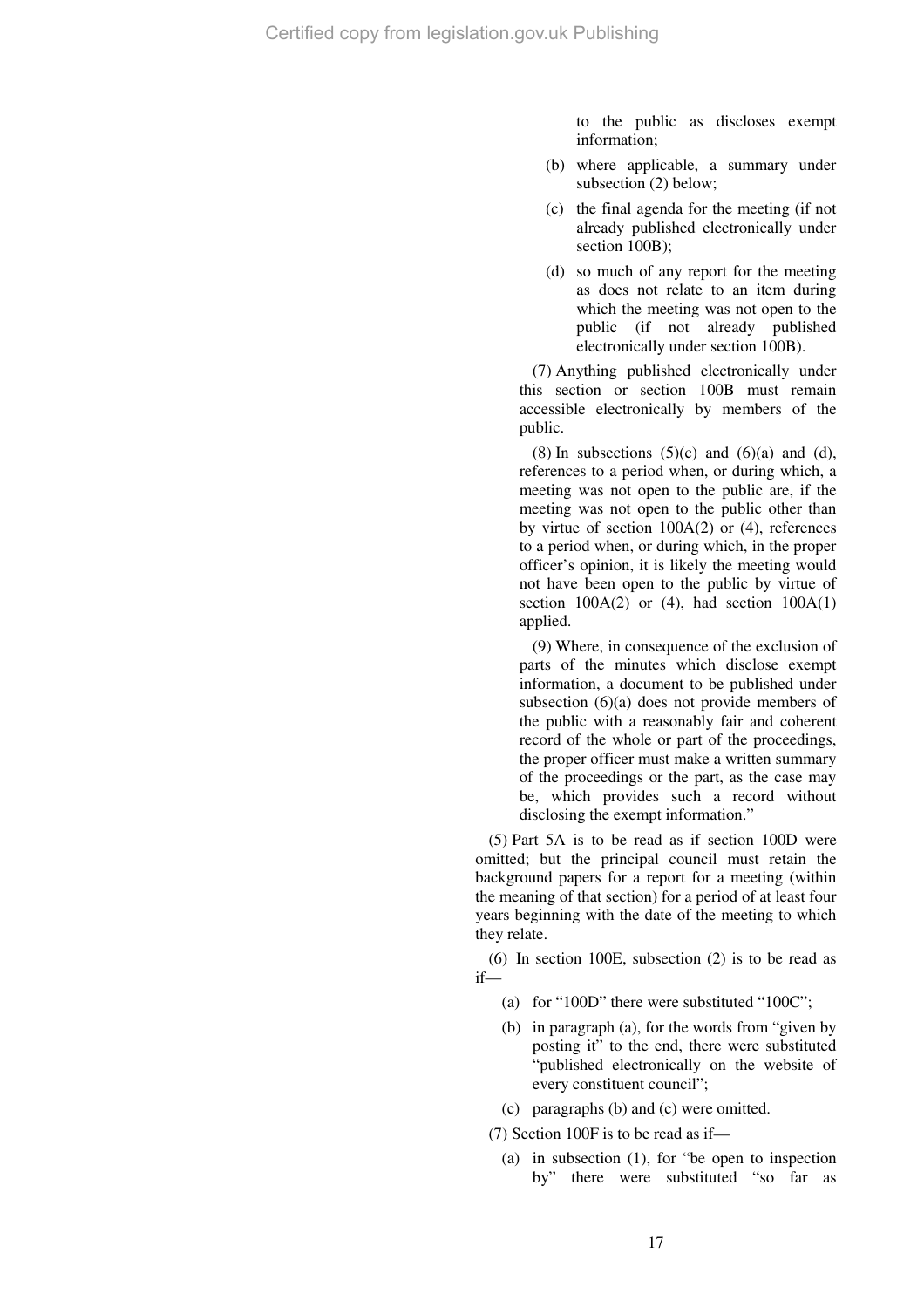to the public as discloses exempt information;

- (b) where applicable, a summary under subsection (2) below;
- (c) the final agenda for the meeting (if not already published electronically under section 100B);
- (d) so much of any report for the meeting as does not relate to an item during which the meeting was not open to the public (if not already published electronically under section 100B).

(7) Anything published electronically under this section or section 100B must remain accessible electronically by members of the public.

(8) In subsections  $(5)(c)$  and  $(6)(a)$  and  $(d)$ , references to a period when, or during which, a meeting was not open to the public are, if the meeting was not open to the public other than by virtue of section 100A(2) or (4), references to a period when, or during which, in the proper officer's opinion, it is likely the meeting would not have been open to the public by virtue of section  $100A(2)$  or (4), had section  $100A(1)$ applied.

(9) Where, in consequence of the exclusion of parts of the minutes which disclose exempt information, a document to be published under subsection (6)(a) does not provide members of the public with a reasonably fair and coherent record of the whole or part of the proceedings, the proper officer must make a written summary of the proceedings or the part, as the case may be, which provides such a record without disclosing the exempt information."

(5) Part 5A is to be read as if section 100D were omitted; but the principal council must retain the background papers for a report for a meeting (within the meaning of that section) for a period of at least four years beginning with the date of the meeting to which they relate.

(6) In section 100E, subsection (2) is to be read as if—

- (a) for "100D" there were substituted "100C";
- (b) in paragraph (a), for the words from "given by posting it" to the end, there were substituted "published electronically on the website of every constituent council";
- (c) paragraphs (b) and (c) were omitted.

(7) Section 100F is to be read as if—

(a) in subsection (1), for "be open to inspection by" there were substituted "so far as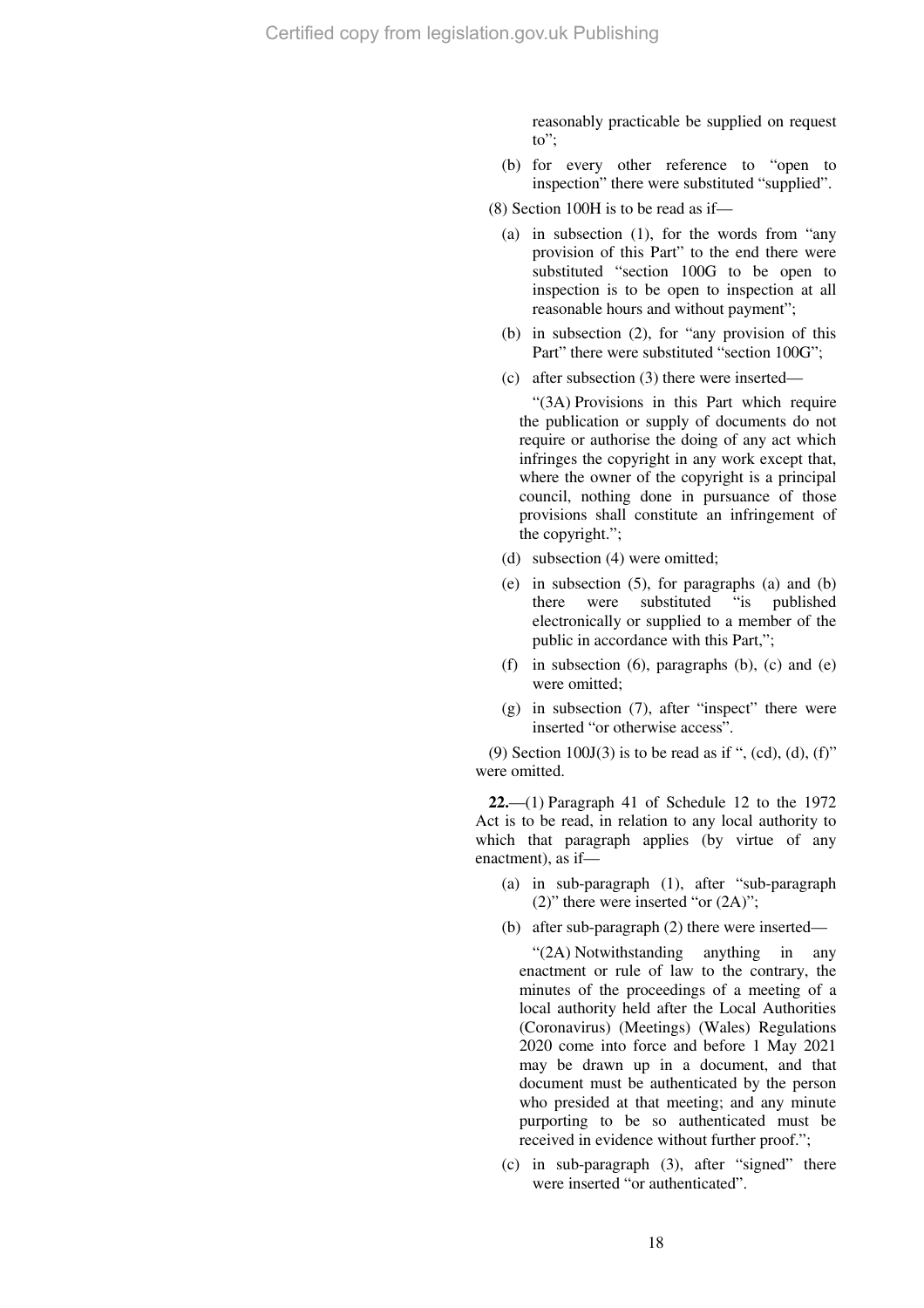reasonably practicable be supplied on request to";

- (b) for every other reference to "open to inspection" there were substituted "supplied".
- (8) Section 100H is to be read as if—
	- (a) in subsection (1), for the words from "any provision of this Part" to the end there were substituted "section 100G to be open to inspection is to be open to inspection at all reasonable hours and without payment";
	- (b) in subsection (2), for "any provision of this Part" there were substituted "section 100G":
	- (c) after subsection (3) there were inserted—

"(3A) Provisions in this Part which require the publication or supply of documents do not require or authorise the doing of any act which infringes the copyright in any work except that, where the owner of the copyright is a principal council, nothing done in pursuance of those provisions shall constitute an infringement of the copyright.";

- (d) subsection (4) were omitted;
- (e) in subsection (5), for paragraphs (a) and (b) there were substituted "is published electronically or supplied to a member of the public in accordance with this Part,";
- (f) in subsection  $(6)$ , paragraphs  $(b)$ ,  $(c)$  and  $(e)$ were omitted;
- $(g)$  in subsection  $(7)$ , after "inspect" there were inserted "or otherwise access".

(9) Section  $100J(3)$  is to be read as if ", (cd), (d), (f)" were omitted.

**22.**—(1) Paragraph 41 of Schedule 12 to the 1972 Act is to be read, in relation to any local authority to which that paragraph applies (by virtue of any enactment), as if—

- (a) in sub-paragraph (1), after "sub-paragraph  $(2)$ " there were inserted "or  $(2A)$ ";
- (b) after sub-paragraph (2) there were inserted—

"(2A) Notwithstanding anything in any enactment or rule of law to the contrary, the minutes of the proceedings of a meeting of a local authority held after the Local Authorities (Coronavirus) (Meetings) (Wales) Regulations 2020 come into force and before 1 May 2021 may be drawn up in a document, and that document must be authenticated by the person who presided at that meeting; and any minute purporting to be so authenticated must be received in evidence without further proof.";

(c) in sub-paragraph (3), after "signed" there were inserted "or authenticated".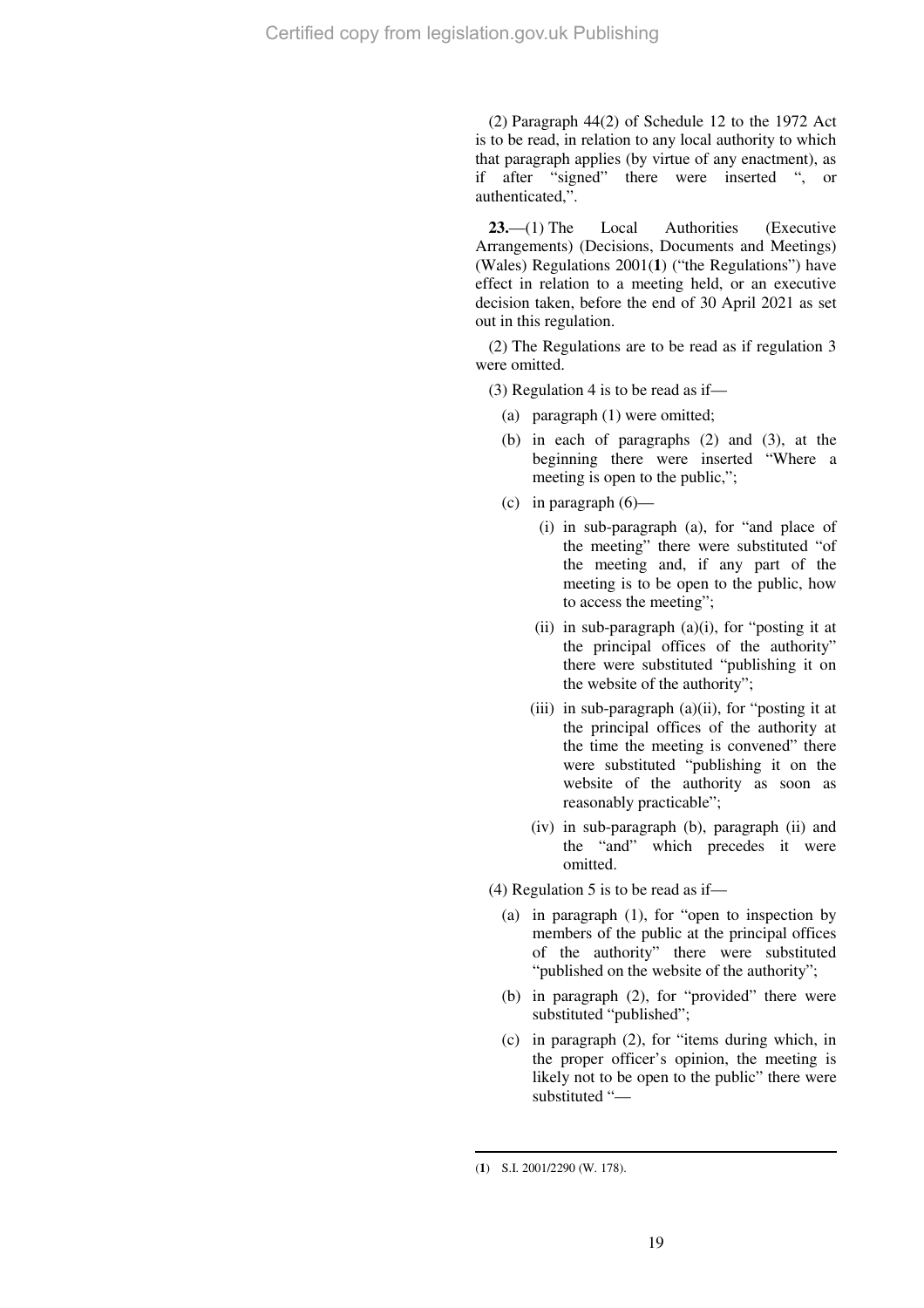(2) Paragraph 44(2) of Schedule 12 to the 1972 Act is to be read, in relation to any local authority to which that paragraph applies (by virtue of any enactment), as if after "signed" there were inserted ", or authenticated,".

**23.**—(1) The Local Authorities (Executive Arrangements) (Decisions, Documents and Meetings) (Wales) Regulations 2001(**1**) ("the Regulations") have effect in relation to a meeting held, or an executive decision taken, before the end of 30 April 2021 as set out in this regulation.

(2) The Regulations are to be read as if regulation 3 were omitted.

(3) Regulation 4 is to be read as if—

- (a) paragraph (1) were omitted;
- (b) in each of paragraphs (2) and (3), at the beginning there were inserted "Where a meeting is open to the public,";
- (c) in paragraph  $(6)$ 
	- (i) in sub-paragraph (a), for "and place of the meeting" there were substituted "of the meeting and, if any part of the meeting is to be open to the public, how to access the meeting";
	- (ii) in sub-paragraph (a)(i), for "posting it at the principal offices of the authority" there were substituted "publishing it on the website of the authority";
	- (iii) in sub-paragraph  $(a)(ii)$ , for "posting it at the principal offices of the authority at the time the meeting is convened" there were substituted "publishing it on the website of the authority as soon as reasonably practicable";
	- (iv) in sub-paragraph (b), paragraph (ii) and the "and" which precedes it were omitted.

(4) Regulation 5 is to be read as if—

- (a) in paragraph (1), for "open to inspection by members of the public at the principal offices of the authority" there were substituted "published on the website of the authority";
- (b) in paragraph (2), for "provided" there were substituted "published";
- (c) in paragraph (2), for "items during which, in the proper officer's opinion, the meeting is likely not to be open to the public" there were substituted "—

 $\overline{a}$ (**1**) S.I. 2001/2290 (W. 178).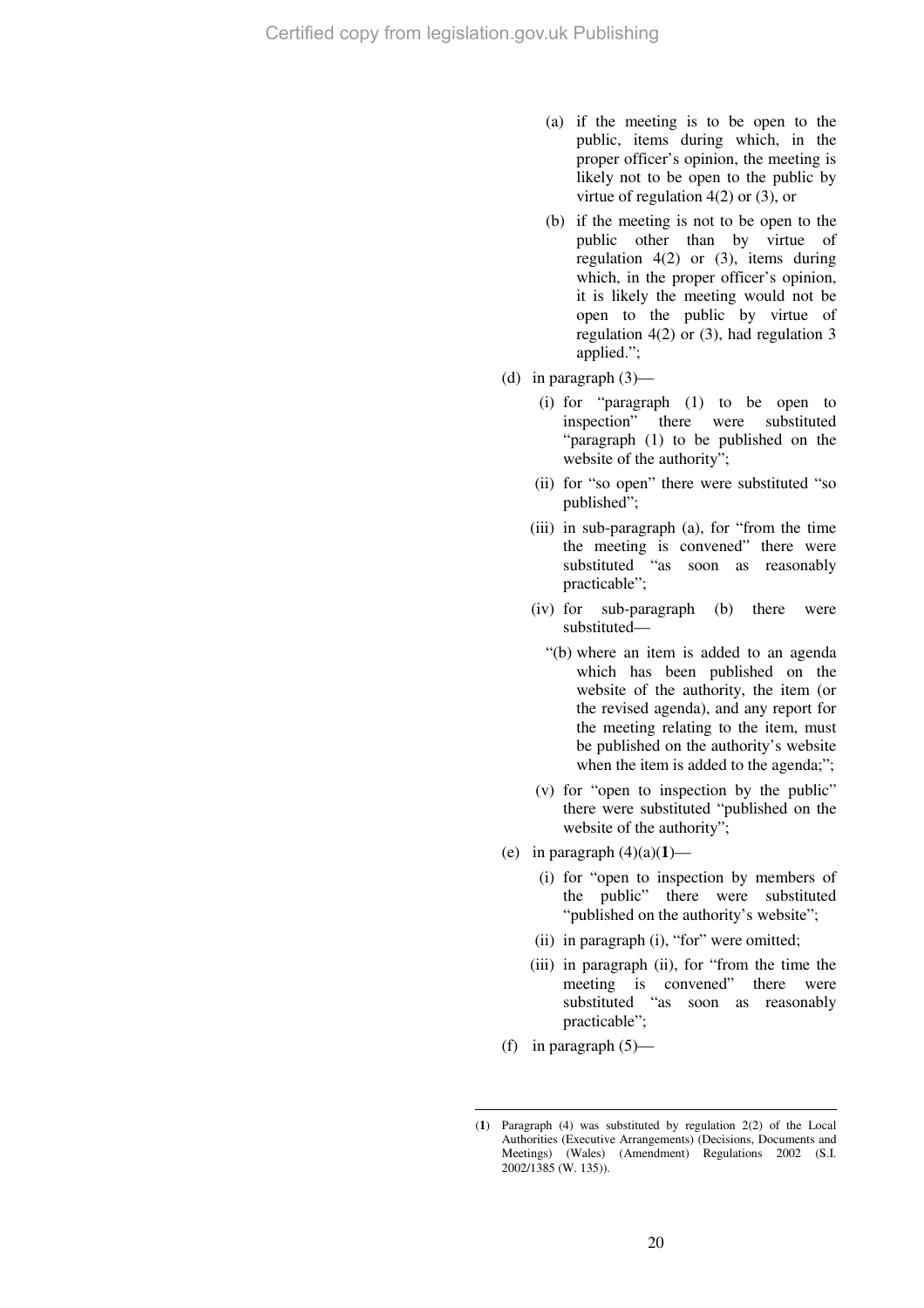- (a) if the meeting is to be open to the public, items during which, in the proper officer's opinion, the meeting is likely not to be open to the public by virtue of regulation 4(2) or (3), or
- (b) if the meeting is not to be open to the public other than by virtue of regulation  $4(2)$  or  $(3)$ , items during which, in the proper officer's opinion, it is likely the meeting would not be open to the public by virtue of regulation 4(2) or (3), had regulation 3 applied.";
- (d) in paragraph  $(3)$ 
	- (i) for "paragraph (1) to be open to inspection" there were substituted "paragraph (1) to be published on the website of the authority";
	- (ii) for "so open" there were substituted "so published";
	- (iii) in sub-paragraph (a), for "from the time the meeting is convened" there were substituted "as soon as reasonably practicable";
	- (iv) for sub-paragraph (b) there were substituted—
		- "(b) where an item is added to an agenda which has been published on the website of the authority, the item (or the revised agenda), and any report for the meeting relating to the item, must be published on the authority's website when the item is added to the agenda;";
	- (v) for "open to inspection by the public" there were substituted "published on the website of the authority";
- (e) in paragraph (4)(a)(**1**)—
	- (i) for "open to inspection by members of the public" there were substituted "published on the authority's website";
	- (ii) in paragraph (i), "for" were omitted;
	- (iii) in paragraph (ii), for "from the time the meeting is convened" there were substituted "as soon as reasonably practicable";
- (f) in paragraph  $(5)$ —

 $\overline{a}$ (**1**) Paragraph (4) was substituted by regulation 2(2) of the Local Authorities (Executive Arrangements) (Decisions, Documents and Meetings) (Wales) (Amendment) Regulations 2002 (S.I. 2002/1385 (W. 135)).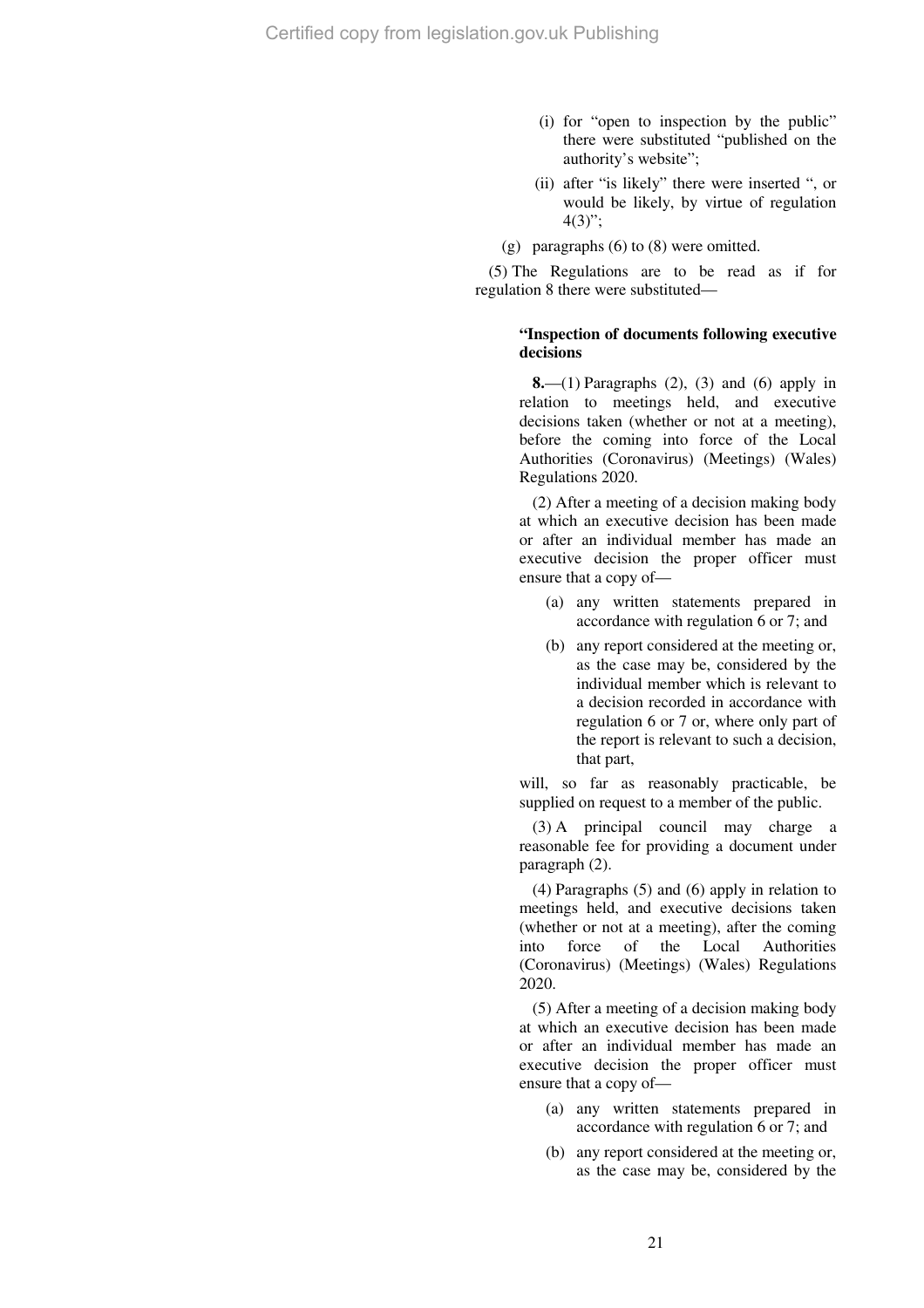- (i) for "open to inspection by the public" there were substituted "published on the authority's website";
- (ii) after "is likely" there were inserted ", or would be likely, by virtue of regulation  $4(3)$ ";
- (g) paragraphs (6) to (8) were omitted.

(5) The Regulations are to be read as if for regulation 8 there were substituted—

## **"Inspection of documents following executive decisions**

**8.**—(1) Paragraphs (2), (3) and (6) apply in relation to meetings held, and executive decisions taken (whether or not at a meeting), before the coming into force of the Local Authorities (Coronavirus) (Meetings) (Wales) Regulations 2020.

(2) After a meeting of a decision making body at which an executive decision has been made or after an individual member has made an executive decision the proper officer must ensure that a copy of—

- (a) any written statements prepared in accordance with regulation 6 or 7; and
- (b) any report considered at the meeting or, as the case may be, considered by the individual member which is relevant to a decision recorded in accordance with regulation 6 or 7 or, where only part of the report is relevant to such a decision, that part,

will, so far as reasonably practicable, be supplied on request to a member of the public.

(3) A principal council may charge a reasonable fee for providing a document under paragraph (2).

(4) Paragraphs (5) and (6) apply in relation to meetings held, and executive decisions taken (whether or not at a meeting), after the coming into force of the Local Authorities (Coronavirus) (Meetings) (Wales) Regulations 2020.

(5) After a meeting of a decision making body at which an executive decision has been made or after an individual member has made an executive decision the proper officer must ensure that a copy of—

- (a) any written statements prepared in accordance with regulation 6 or 7; and
- (b) any report considered at the meeting or, as the case may be, considered by the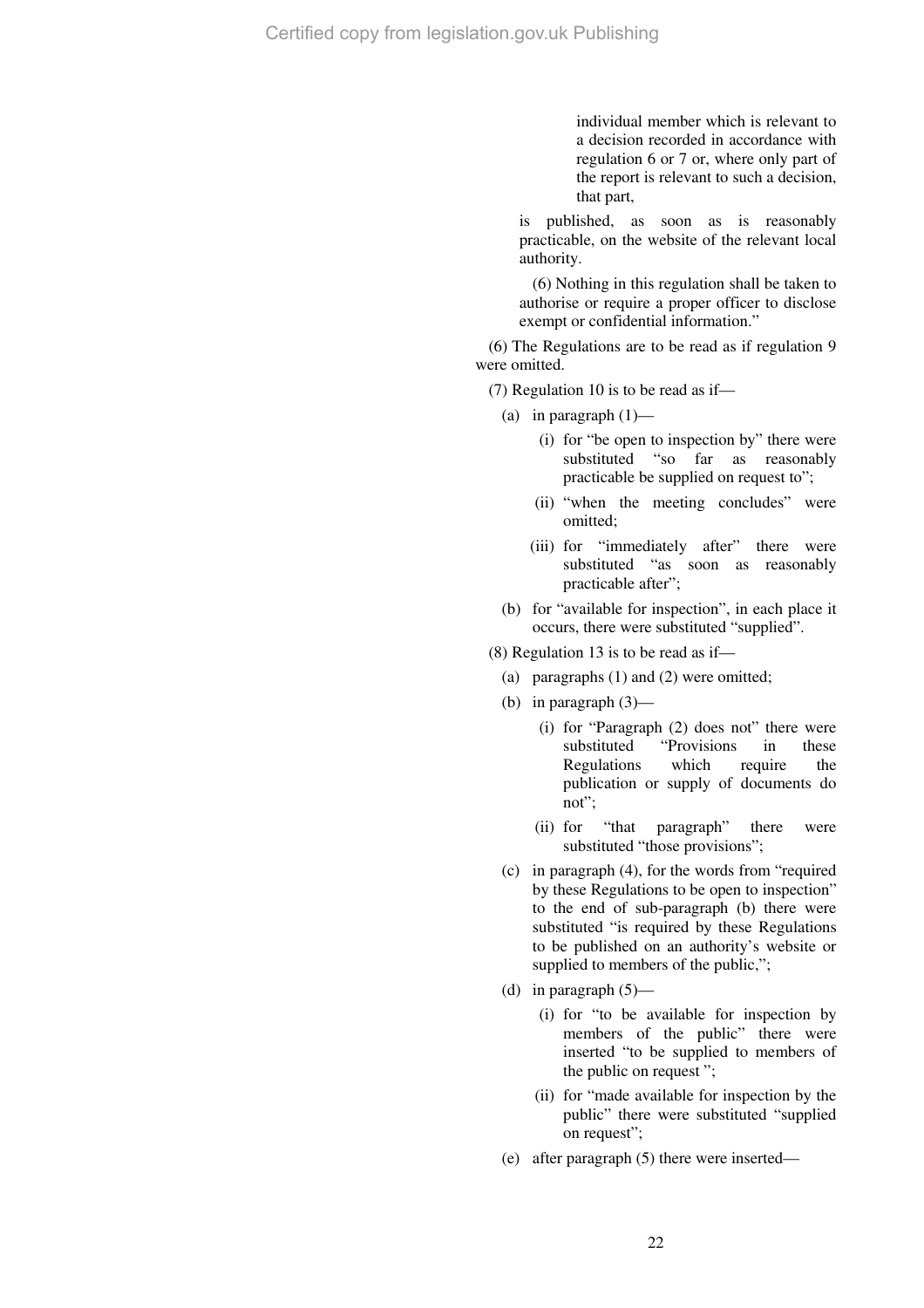individual member which is relevant to a decision recorded in accordance with regulation 6 or 7 or, where only part of the report is relevant to such a decision, that part,

is published, as soon as is reasonably practicable, on the website of the relevant local authority.

(6) Nothing in this regulation shall be taken to authorise or require a proper officer to disclose exempt or confidential information."

(6) The Regulations are to be read as if regulation 9 were omitted.

(7) Regulation 10 is to be read as if—

- (a) in paragraph (1)—
	- (i) for "be open to inspection by" there were substituted "so far as reasonably practicable be supplied on request to";
	- (ii) "when the meeting concludes" were omitted;
	- (iii) for "immediately after" there were substituted "as soon as reasonably practicable after";
- (b) for "available for inspection", in each place it occurs, there were substituted "supplied".

(8) Regulation 13 is to be read as if—

- (a) paragraphs (1) and (2) were omitted;
- (b) in paragraph (3)—
	- (i) for "Paragraph (2) does not" there were substituted "Provisions in these Regulations which require the publication or supply of documents do not";
	- (ii) for "that paragraph" there were substituted "those provisions";
- (c) in paragraph (4), for the words from "required by these Regulations to be open to inspection" to the end of sub-paragraph (b) there were substituted "is required by these Regulations to be published on an authority's website or supplied to members of the public,";
- (d) in paragraph  $(5)$ 
	- (i) for "to be available for inspection by members of the public" there were inserted "to be supplied to members of the public on request ";
	- (ii) for "made available for inspection by the public" there were substituted "supplied on request";
- (e) after paragraph (5) there were inserted—